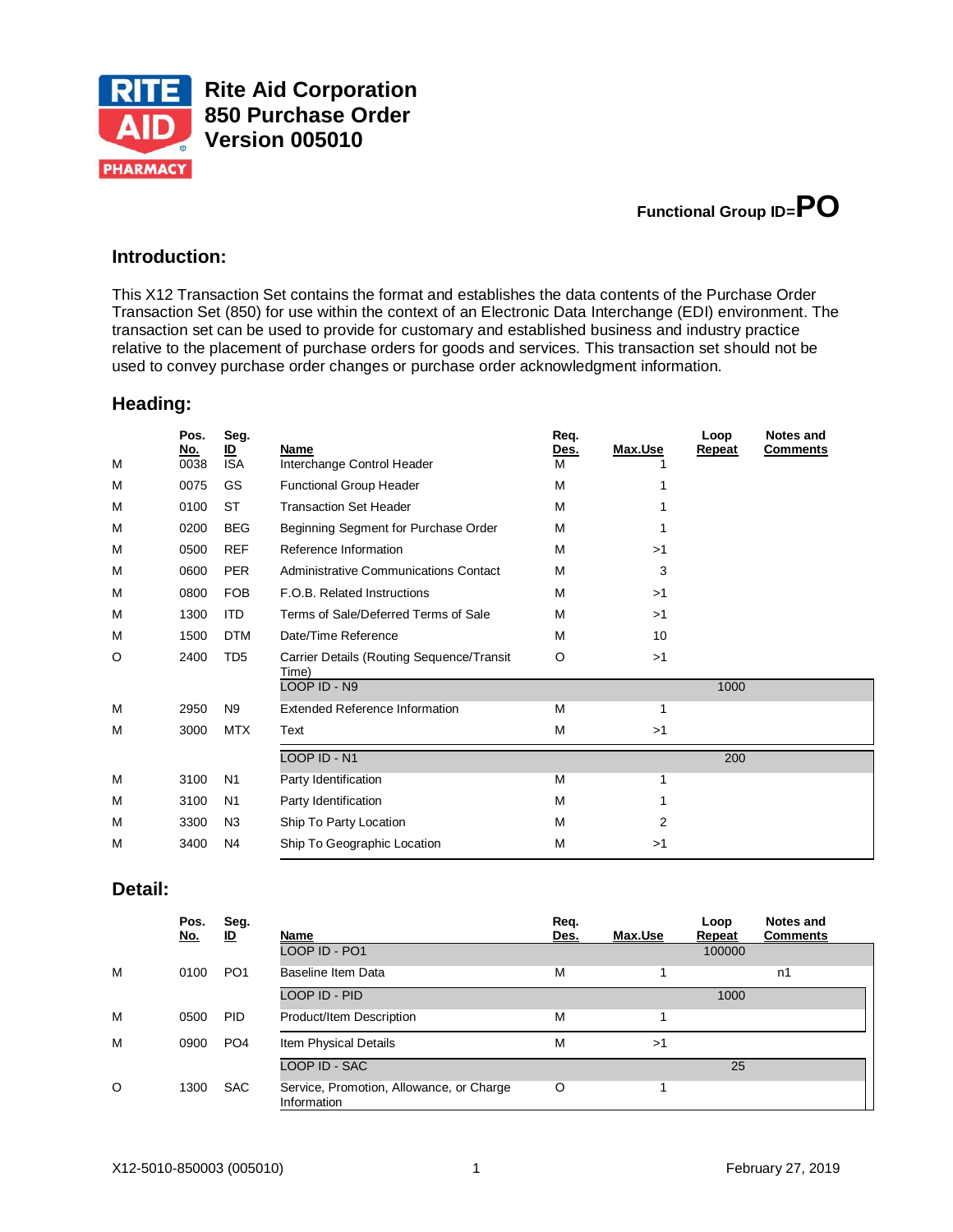

**Rite Aid Corporation 850 Purchase Order Version 005010**



# **Introduction:**

This X12 Transaction Set contains the format and establishes the data contents of the Purchase Order Transaction Set (850) for use within the context of an Electronic Data Interchange (EDI) environment. The transaction set can be used to provide for customary and established business and industry practice relative to the placement of purchase orders for goods and services. This transaction set should not be used to convey purchase order changes or purchase order acknowledgment information.

### **Heading:**

| M | Pos.<br>No.<br>0038 | Seg.<br><u>ID</u><br><b>ISA</b> | Name<br>Interchange Control Header                 | Req.<br><u>Des.</u><br>M | Max.Use | Loop<br>Repeat | <b>Notes and</b><br><b>Comments</b> |
|---|---------------------|---------------------------------|----------------------------------------------------|--------------------------|---------|----------------|-------------------------------------|
| M | 0075                | GS                              | <b>Functional Group Header</b>                     | M                        | 1       |                |                                     |
| M | 0100                | <b>ST</b>                       | <b>Transaction Set Header</b>                      | M                        |         |                |                                     |
| M | 0200                | <b>BEG</b>                      | Beginning Segment for Purchase Order               | M                        |         |                |                                     |
| M | 0500                | <b>REF</b>                      | Reference Information                              | M                        | >1      |                |                                     |
| M | 0600                | <b>PER</b>                      | Administrative Communications Contact              | M                        | 3       |                |                                     |
| M | 0800                | <b>FOB</b>                      | F.O.B. Related Instructions                        | M                        | >1      |                |                                     |
| M | 1300                | <b>ITD</b>                      | Terms of Sale/Deferred Terms of Sale               | M                        | >1      |                |                                     |
| M | 1500                | <b>DTM</b>                      | Date/Time Reference                                | M                        | 10      |                |                                     |
| O | 2400                | TD <sub>5</sub>                 | Carrier Details (Routing Sequence/Transit<br>Time) | O                        | >1      |                |                                     |
|   |                     |                                 | LOOP ID - N9                                       |                          |         | 1000           |                                     |
| M | 2950                | N <sub>9</sub>                  | <b>Extended Reference Information</b>              | M                        | 1       |                |                                     |
| M | 3000                | <b>MTX</b>                      | Text                                               | M                        | >1      |                |                                     |
|   |                     |                                 | LOOP ID - N1                                       |                          |         | 200            |                                     |
| M | 3100                | N <sub>1</sub>                  | Party Identification                               | M                        | 1       |                |                                     |
| M | 3100                | N <sub>1</sub>                  | Party Identification                               | M                        | 1       |                |                                     |
| M | 3300                | N <sub>3</sub>                  | Ship To Party Location                             | M                        | 2       |                |                                     |
| M | 3400                | N <sub>4</sub>                  | Ship To Geographic Location                        | M                        | >1      |                |                                     |

#### **Detail:**

|         | Pos.<br><u>No.</u> | Seg.<br>lD      | Name                                                    | Req.<br>Des. | Max.Use | Loop<br>Repeat | Notes and<br><b>Comments</b> |
|---------|--------------------|-----------------|---------------------------------------------------------|--------------|---------|----------------|------------------------------|
|         |                    |                 | LOOP ID - PO1                                           |              |         | 100000         |                              |
| M       | 0100               | PO <sub>1</sub> | Baseline Item Data                                      | М            |         |                | n1                           |
|         |                    |                 | LOOP ID - PID                                           |              |         | 1000           |                              |
| M       | 0500               | <b>PID</b>      | Product/Item Description                                | М            |         |                |                              |
| M       | 0900               | PO <sub>4</sub> | Item Physical Details                                   | м            | >1      |                |                              |
|         |                    |                 | LOOP ID - SAC                                           |              |         | 25             |                              |
| $\circ$ | 1300               | <b>SAC</b>      | Service, Promotion, Allowance, or Charge<br>Information | O            |         |                |                              |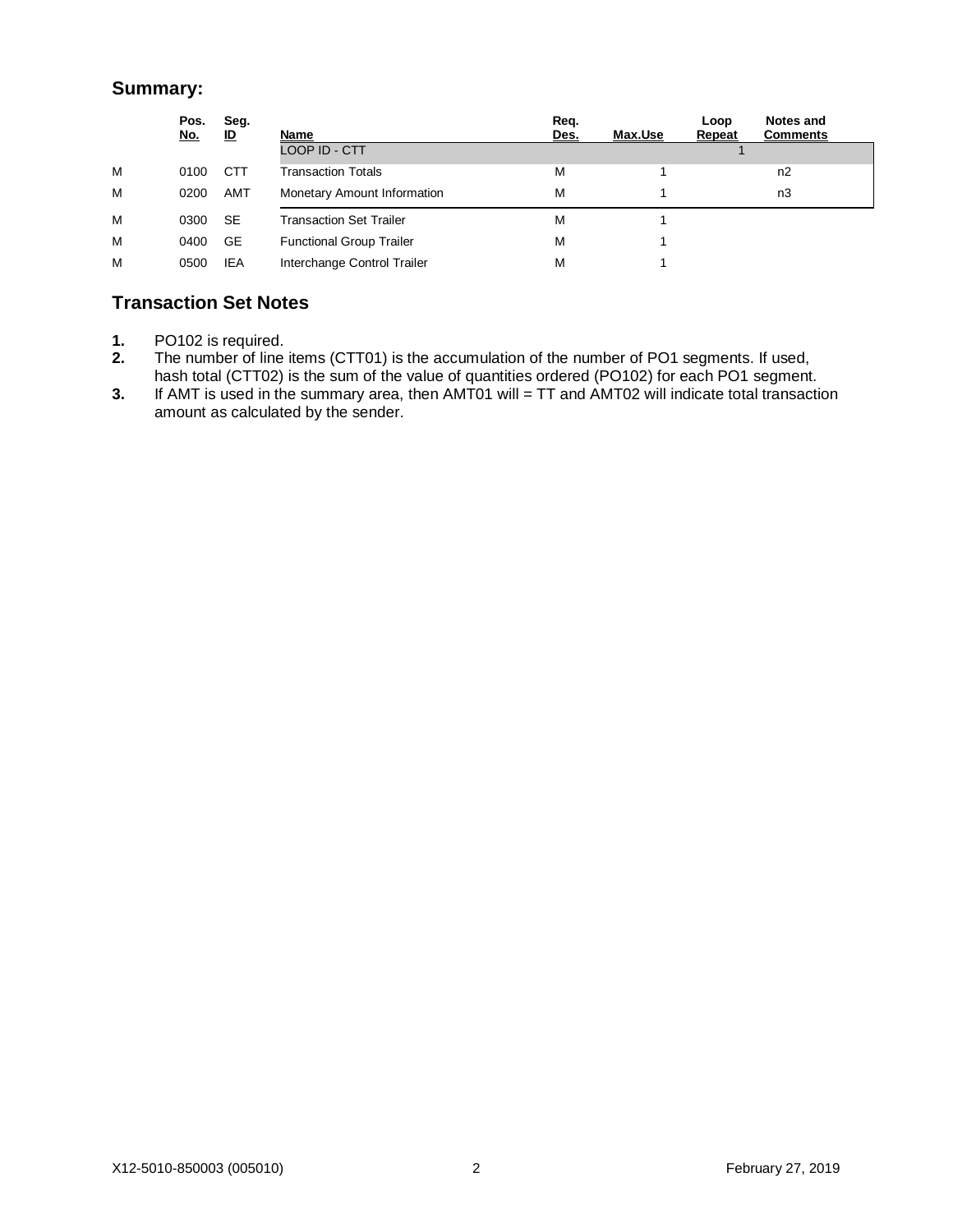# **Summary:**

|   | Pos.<br><u>No.</u> | Seg.<br>ம  | Name                            | Req.<br>Des. | Max.Use | Loop<br>Repeat | Notes and<br><b>Comments</b> |  |
|---|--------------------|------------|---------------------------------|--------------|---------|----------------|------------------------------|--|
|   |                    |            | LOOP ID - CTT                   |              |         |                |                              |  |
| м | 0100               | <b>CTT</b> | Transaction Totals              | м            |         |                | n2                           |  |
| M | 0200               | AMT        | Monetary Amount Information     | M            |         |                | n3                           |  |
| м | 0300               | <b>SE</b>  | <b>Transaction Set Trailer</b>  | M            |         |                |                              |  |
| M | 0400               | GE         | <b>Functional Group Trailer</b> | M            |         |                |                              |  |
| M | 0500               | IEA        | Interchange Control Trailer     | M            |         |                |                              |  |

# **Transaction Set Notes**

- **1.** PO102 is required.
- **2.** The number of line items (CTT01) is the accumulation of the number of PO1 segments. If used, hash total (CTT02) is the sum of the value of quantities ordered (PO102) for each PO1 segment.
- **3.** If AMT is used in the summary area, then AMT01 will = TT and AMT02 will indicate total transaction amount as calculated by the sender.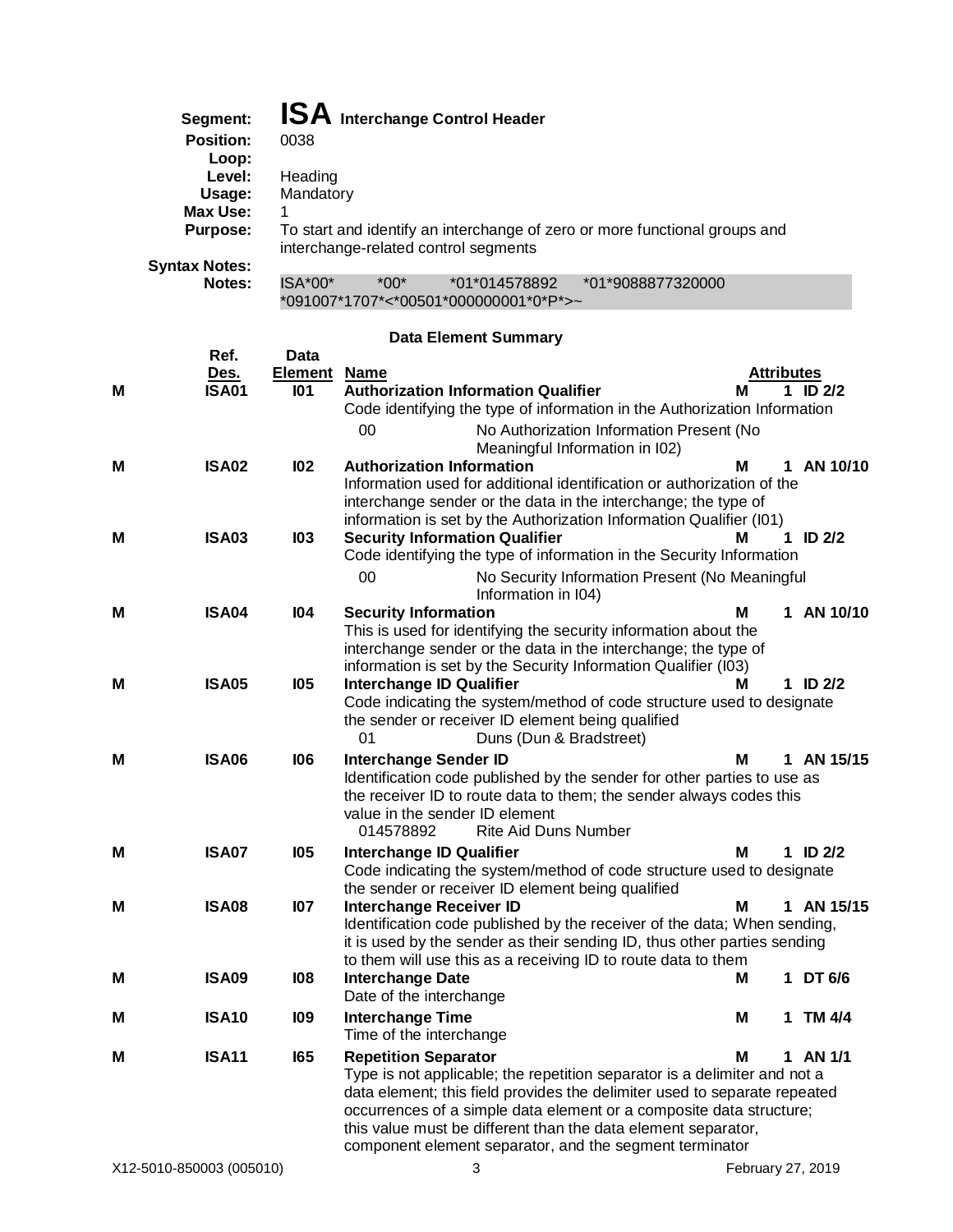| Segment:             |           |        | <b>ISA</b> Interchange Control Header |                                                                            |
|----------------------|-----------|--------|---------------------------------------|----------------------------------------------------------------------------|
| <b>Position:</b>     | 0038      |        |                                       |                                                                            |
| Loop:                |           |        |                                       |                                                                            |
| Level:               | Heading   |        |                                       |                                                                            |
| Usage:               | Mandatory |        |                                       |                                                                            |
| Max Use:             |           |        |                                       |                                                                            |
| <b>Purpose:</b>      |           |        | interchange-related control segments  | To start and identify an interchange of zero or more functional groups and |
| <b>Syntax Notes:</b> |           |        |                                       |                                                                            |
| Notes:               | $ISA*00*$ | $*00*$ | *01*014578892                         | *01*9088877320000                                                          |

# **Data Element Summary**

\*091007\*1707\*<\*00501\*000000001\*0\*P\*>~

|   | Ref.              | <b>Data</b>         |                                                                                                                                                                                                                 |            |              |
|---|-------------------|---------------------|-----------------------------------------------------------------------------------------------------------------------------------------------------------------------------------------------------------------|------------|--------------|
|   | <u>Des.</u>       | <b>Element Name</b> |                                                                                                                                                                                                                 | Attributes |              |
| м | <b>ISA01</b>      | 101                 | <b>Authorization Information Qualifier</b><br>Code identifying the type of information in the Authorization Information                                                                                         | м          | 1 ID $2/2$   |
|   |                   |                     | 00<br>No Authorization Information Present (No<br>Meaningful Information in I02)                                                                                                                                |            |              |
| M | <b>ISA02</b>      | 102                 | <b>Authorization Information</b>                                                                                                                                                                                | м          | 1 AN 10/10   |
|   |                   |                     | Information used for additional identification or authorization of the<br>interchange sender or the data in the interchange; the type of<br>information is set by the Authorization Information Qualifier (I01) |            |              |
| M | ISA03             | <b>103</b>          | <b>Security Information Qualifier</b>                                                                                                                                                                           | м          | 1 ID $2/2$   |
|   |                   |                     | Code identifying the type of information in the Security Information                                                                                                                                            |            |              |
|   |                   |                     | 00<br>No Security Information Present (No Meaningful<br>Information in I04)                                                                                                                                     |            |              |
| м | <b>ISA04</b>      | 104                 | <b>Security Information</b>                                                                                                                                                                                     | М          | 1 AN 10/10   |
|   |                   |                     | This is used for identifying the security information about the<br>interchange sender or the data in the interchange; the type of                                                                               |            |              |
|   |                   |                     | information is set by the Security Information Qualifier (I03)                                                                                                                                                  |            |              |
| М | <b>ISA05</b>      | <b>105</b>          | <b>Interchange ID Qualifier</b>                                                                                                                                                                                 | м          | 1 ID $2/2$   |
|   |                   |                     | Code indicating the system/method of code structure used to designate                                                                                                                                           |            |              |
|   |                   |                     | the sender or receiver ID element being qualified<br>01<br>Duns (Dun & Bradstreet)                                                                                                                              |            |              |
|   |                   |                     |                                                                                                                                                                                                                 |            |              |
|   |                   |                     |                                                                                                                                                                                                                 |            |              |
| Μ | <b>ISA06</b>      | 106                 | <b>Interchange Sender ID</b>                                                                                                                                                                                    | Μ          | 1 AN 15/15   |
|   |                   |                     | Identification code published by the sender for other parties to use as<br>the receiver ID to route data to them; the sender always codes this                                                                  |            |              |
|   |                   |                     | value in the sender ID element                                                                                                                                                                                  |            |              |
|   |                   |                     | 014578892<br>Rite Aid Duns Number                                                                                                                                                                               |            |              |
| м | <b>ISA07</b>      | <b>105</b>          | <b>Interchange ID Qualifier</b>                                                                                                                                                                                 | м          | $1$ ID $2/2$ |
|   |                   |                     | Code indicating the system/method of code structure used to designate                                                                                                                                           |            |              |
| м | <b>ISA08</b>      | 107                 | the sender or receiver ID element being qualified<br><b>Interchange Receiver ID</b>                                                                                                                             | м          | 1 AN 15/15   |
|   |                   |                     | Identification code published by the receiver of the data; When sending,                                                                                                                                        |            |              |
|   |                   |                     | it is used by the sender as their sending ID, thus other parties sending                                                                                                                                        |            |              |
|   |                   |                     | to them will use this as a receiving ID to route data to them                                                                                                                                                   |            |              |
| м | <b>ISA09</b>      | 108                 | <b>Interchange Date</b><br>Date of the interchange                                                                                                                                                              | м          | 1 DT 6/6     |
| м | <b>ISA10</b>      | <b>109</b>          | <b>Interchange Time</b>                                                                                                                                                                                         | Μ          | 1 TM 4/4     |
|   |                   |                     | Time of the interchange                                                                                                                                                                                         |            |              |
| м | ISA <sub>11</sub> | 165                 | <b>Repetition Separator</b>                                                                                                                                                                                     | М          | 1 AN 1/1     |
|   |                   |                     | Type is not applicable; the repetition separator is a delimiter and not a                                                                                                                                       |            |              |
|   |                   |                     | data element; this field provides the delimiter used to separate repeated                                                                                                                                       |            |              |
|   |                   |                     | occurrences of a simple data element or a composite data structure;<br>this value must be different than the data element separator,                                                                            |            |              |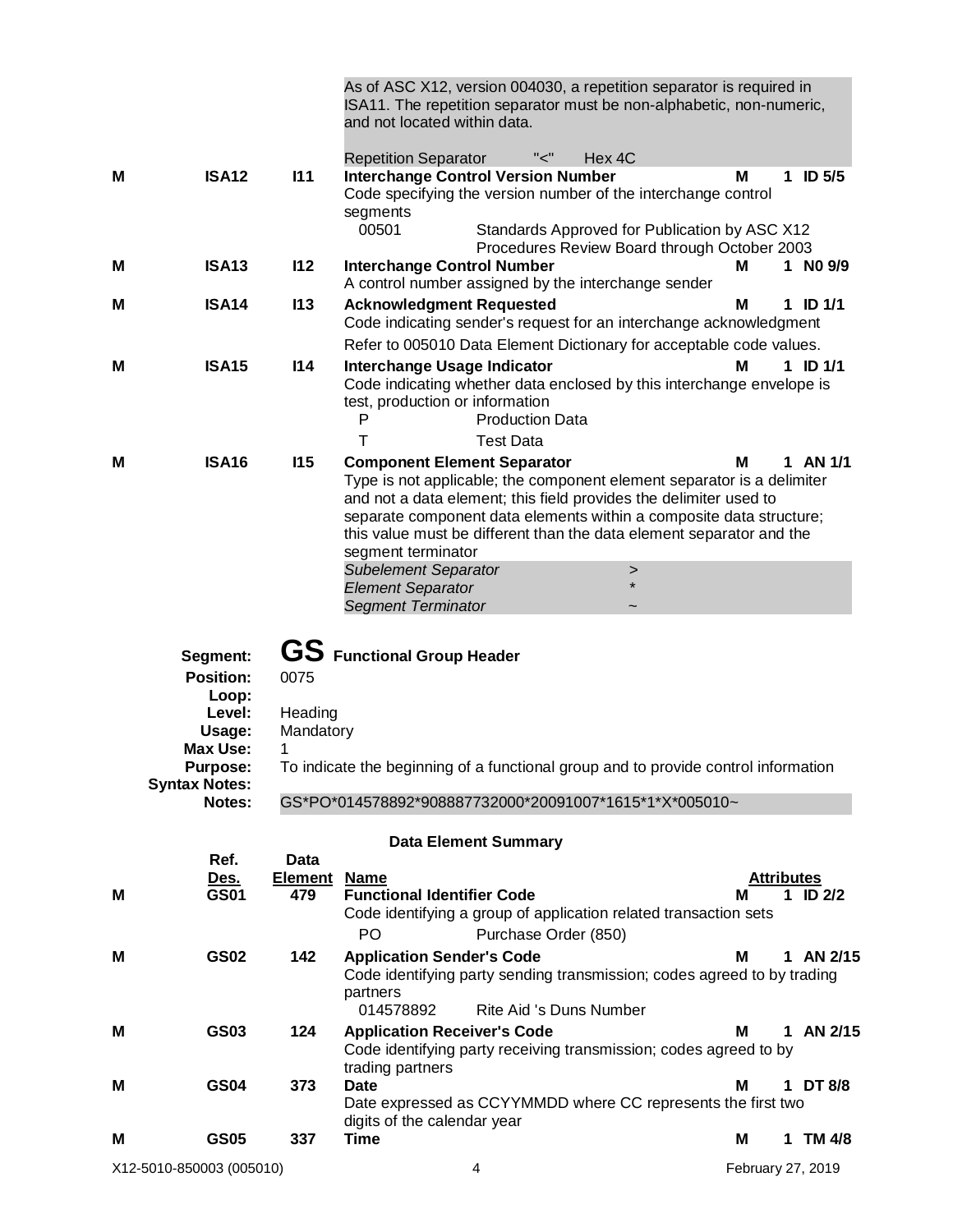|   |                                                                                                 |                                   | As of ASC X12, version 004030, a repetition separator is required in<br>ISA11. The repetition separator must be non-alphabetic, non-numeric,<br>and not located within data.                                                                                                                                                                                                                                                                                         |  |
|---|-------------------------------------------------------------------------------------------------|-----------------------------------|----------------------------------------------------------------------------------------------------------------------------------------------------------------------------------------------------------------------------------------------------------------------------------------------------------------------------------------------------------------------------------------------------------------------------------------------------------------------|--|
| м | <b>ISA12</b>                                                                                    | 111                               | "<"<br>Hex 4C<br><b>Repetition Separator</b><br><b>Interchange Control Version Number</b><br>M<br><b>ID 5/5</b><br>1<br>Code specifying the version number of the interchange control                                                                                                                                                                                                                                                                                |  |
|   |                                                                                                 |                                   | segments<br>00501<br>Standards Approved for Publication by ASC X12<br>Procedures Review Board through October 2003                                                                                                                                                                                                                                                                                                                                                   |  |
| M | <b>ISA13</b>                                                                                    | 112                               | 1 NO 9/9<br><b>Interchange Control Number</b><br>Μ<br>A control number assigned by the interchange sender                                                                                                                                                                                                                                                                                                                                                            |  |
| Μ | <b>ISA14</b>                                                                                    | 113                               | <b>Acknowledgment Requested</b><br>ID $1/1$<br>м<br>1.<br>Code indicating sender's request for an interchange acknowledgment                                                                                                                                                                                                                                                                                                                                         |  |
| M | <b>ISA15</b>                                                                                    | 114                               | Refer to 005010 Data Element Dictionary for acceptable code values.<br>1 ID $1/1$<br><b>Interchange Usage Indicator</b><br>М<br>Code indicating whether data enclosed by this interchange envelope is<br>test, production or information<br>P<br><b>Production Data</b>                                                                                                                                                                                              |  |
|   |                                                                                                 |                                   | Т<br><b>Test Data</b>                                                                                                                                                                                                                                                                                                                                                                                                                                                |  |
| М | <b>ISA16</b>                                                                                    | 115                               | <b>Component Element Separator</b><br>1 AN 1/1<br>м<br>Type is not applicable; the component element separator is a delimiter<br>and not a data element; this field provides the delimiter used to<br>separate component data elements within a composite data structure;<br>this value must be different than the data element separator and the<br>segment terminator<br><b>Subelement Separator</b><br>><br><b>Element Separator</b><br><b>Segment Terminator</b> |  |
|   | Segment:<br><b>Position:</b><br>Loop:<br>Level:<br>Usage:<br><b>Max Use:</b><br><b>Purpose:</b> | 0075<br>Heading<br>Mandatory<br>1 | <b>GS</b> Functional Group Header<br>To indicate the beginning of a functional group and to provide control information                                                                                                                                                                                                                                                                                                                                              |  |
|   | <b>Syntax Notes:</b><br>Notes:                                                                  |                                   | GS*PO*014578892*908887732000*20091007*1615*1*X*005010~                                                                                                                                                                                                                                                                                                                                                                                                               |  |
|   |                                                                                                 |                                   | <b>Data Element Summary</b>                                                                                                                                                                                                                                                                                                                                                                                                                                          |  |
|   | Ref.                                                                                            | <b>Data</b>                       |                                                                                                                                                                                                                                                                                                                                                                                                                                                                      |  |
| м | <u>Des.</u><br><b>GS01</b>                                                                      | <u>Element</u><br>479             | <b>Name</b><br><b>Attributes</b><br><b>Functional Identifier Code</b><br>$1$ ID $2/2$<br>м<br>Code identifying a group of application related transaction sets<br>PO<br>Purchase Order (850)                                                                                                                                                                                                                                                                         |  |
| М | <b>GS02</b>                                                                                     | 142                               | <b>Application Sender's Code</b><br>1 AN 2/15<br>м<br>Code identifying party sending transmission; codes agreed to by trading<br>partners<br>Rite Aid 's Duns Number<br>014578892                                                                                                                                                                                                                                                                                    |  |
| М | GS03                                                                                            | 124                               | <b>Application Receiver's Code</b><br>1 AN 2/15<br>м<br>Code identifying party receiving transmission; codes agreed to by                                                                                                                                                                                                                                                                                                                                            |  |
| M | <b>GS04</b>                                                                                     | 373                               | trading partners<br><b>Date</b><br>1 DT 8/8<br>м<br>Date expressed as CCYYMMDD where CC represents the first two                                                                                                                                                                                                                                                                                                                                                     |  |
| M | <b>GS05</b>                                                                                     | 337                               | digits of the calendar year<br><b>Time</b><br>1 TM 4/8<br>м                                                                                                                                                                                                                                                                                                                                                                                                          |  |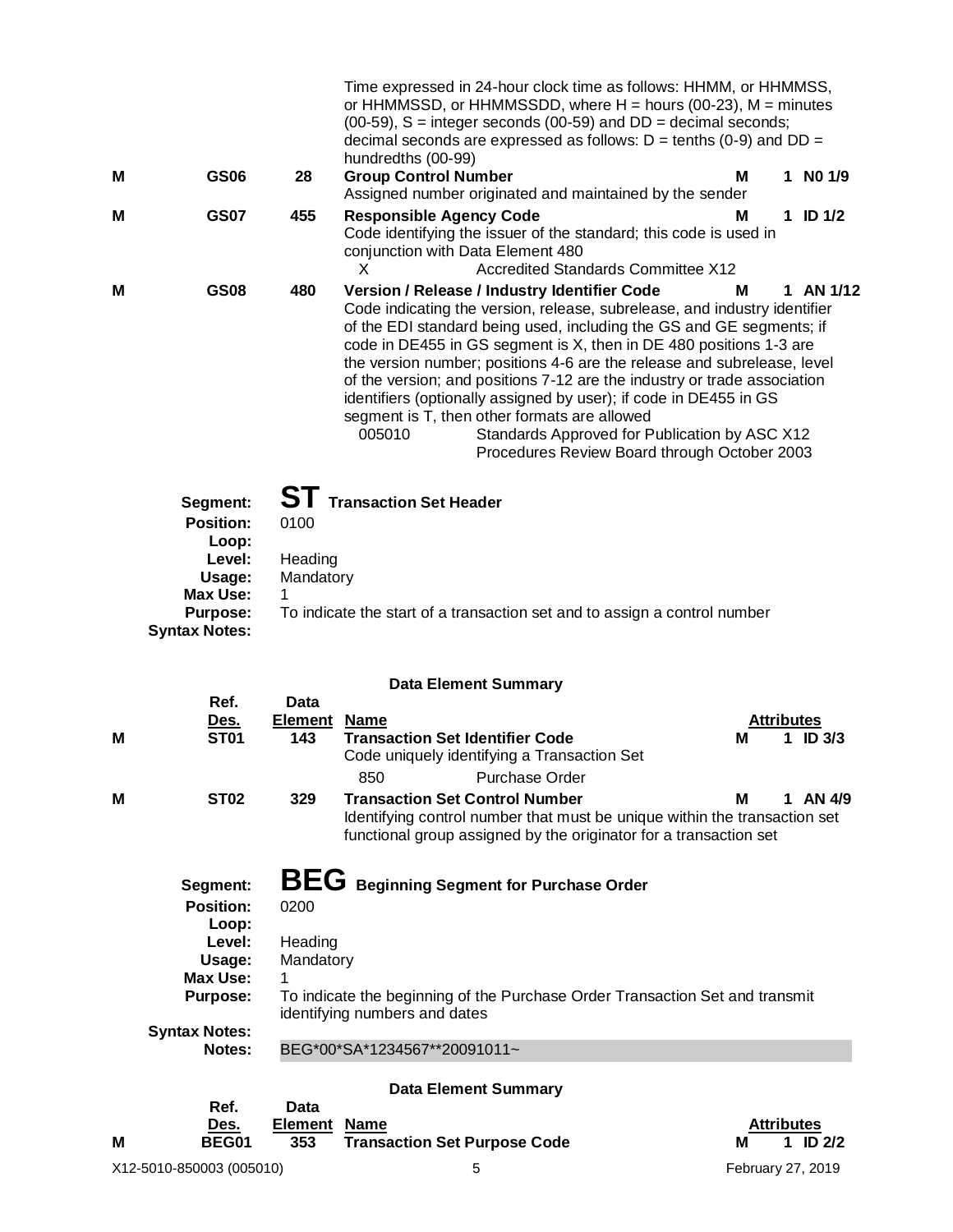|   |                                                                                                                         |                                      | Time expressed in 24-hour clock time as follows: HHMM, or HHMMSS,<br>or HHMMSSD, or HHMMSSDD, where $H =$ hours (00-23), M = minutes<br>$(00-59)$ , S = integer seconds $(00-59)$ and DD = decimal seconds;<br>decimal seconds are expressed as follows: $D =$ tenths (0-9) and $DD =$<br>hundredths (00-99)                                                                                                                                                                                                                                                                                                                                                                     |  |
|---|-------------------------------------------------------------------------------------------------------------------------|--------------------------------------|----------------------------------------------------------------------------------------------------------------------------------------------------------------------------------------------------------------------------------------------------------------------------------------------------------------------------------------------------------------------------------------------------------------------------------------------------------------------------------------------------------------------------------------------------------------------------------------------------------------------------------------------------------------------------------|--|
| м | <b>GS06</b>                                                                                                             | 28                                   | <b>Group Control Number</b><br>$1$ NO $1/9$<br>м<br>Assigned number originated and maintained by the sender                                                                                                                                                                                                                                                                                                                                                                                                                                                                                                                                                                      |  |
| м | <b>GS07</b>                                                                                                             | 455                                  | <b>Responsible Agency Code</b><br>м<br>1 ID $1/2$<br>Code identifying the issuer of the standard; this code is used in<br>conjunction with Data Element 480<br><b>Accredited Standards Committee X12</b><br>X                                                                                                                                                                                                                                                                                                                                                                                                                                                                    |  |
| м | <b>GS08</b>                                                                                                             | 480                                  | Version / Release / Industry Identifier Code<br>1 AN 1/12<br>М<br>Code indicating the version, release, subrelease, and industry identifier<br>of the EDI standard being used, including the GS and GE segments; if<br>code in DE455 in GS segment is X, then in DE 480 positions 1-3 are<br>the version number; positions 4-6 are the release and subrelease, level<br>of the version; and positions 7-12 are the industry or trade association<br>identifiers (optionally assigned by user); if code in DE455 in GS<br>segment is T, then other formats are allowed<br>005010<br>Standards Approved for Publication by ASC X12<br>Procedures Review Board through October 2003 |  |
|   | Segment:<br><b>Position:</b><br>Loop:<br>Level:<br>Usage:<br><b>Max Use:</b><br><b>Purpose:</b><br><b>Syntax Notes:</b> | 0100<br>Heading<br>Mandatory<br>1    | ST Transaction Set Header<br>To indicate the start of a transaction set and to assign a control number                                                                                                                                                                                                                                                                                                                                                                                                                                                                                                                                                                           |  |
|   |                                                                                                                         |                                      | <b>Data Element Summary</b>                                                                                                                                                                                                                                                                                                                                                                                                                                                                                                                                                                                                                                                      |  |
| м | Ref.<br><u>Des.</u><br>ST <sub>01</sub>                                                                                 | <b>Data</b><br><b>Element</b><br>143 | <b>Name</b><br><b>Attributes</b><br><b>Transaction Set Identifier Code</b><br>М<br>ID $3/3$<br>Code uniquely identifying a Transaction Set<br><b>Purchase Order</b><br>850                                                                                                                                                                                                                                                                                                                                                                                                                                                                                                       |  |
| м | <b>ST02</b>                                                                                                             | 329                                  | <b>Transaction Set Control Number</b><br>1 AN $4/9$<br>м<br>Identifying control number that must be unique within the transaction set<br>functional group assigned by the originator for a transaction set                                                                                                                                                                                                                                                                                                                                                                                                                                                                       |  |
|   | Segment:<br><b>Position:</b>                                                                                            | 0200                                 | BEG Beginning Segment for Purchase Order                                                                                                                                                                                                                                                                                                                                                                                                                                                                                                                                                                                                                                         |  |

| POSItion:       | <u>UZUU</u>                                                                                                   |
|-----------------|---------------------------------------------------------------------------------------------------------------|
| Loop:           |                                                                                                               |
| Level:          | Heading                                                                                                       |
| Usage:          | Mandatory                                                                                                     |
| Max Use:        |                                                                                                               |
| <b>Purpose:</b> | To indicate the beginning of the Purchase Order Transaction Set and transmit<br>identifying numbers and dates |
| Syntax Notes:   |                                                                                                               |
| Notes:          | BEG*00*SA*1234567**20091011~                                                                                  |

**Data Element Summary**

|                          | Ref.<br>Des. | Data<br>Element Name |                                     | <b>Attributes</b> |  |  |  |  |
|--------------------------|--------------|----------------------|-------------------------------------|-------------------|--|--|--|--|
| M                        | BEG01        | 353                  | <b>Transaction Set Purpose Code</b> | ID 2/2<br>М       |  |  |  |  |
| X12-5010-850003 (005010) |              |                      |                                     | February 27, 2019 |  |  |  |  |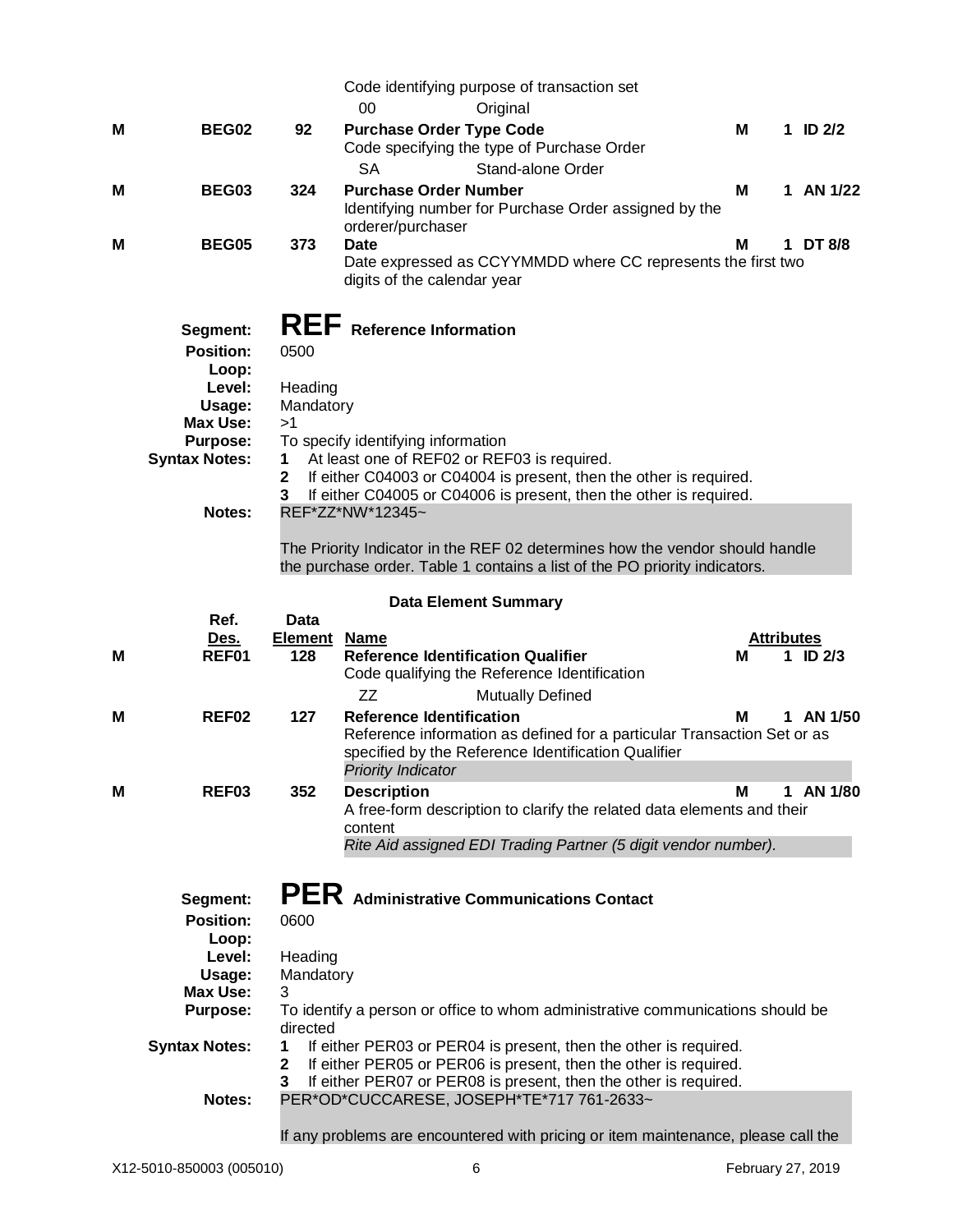|   |                              |                            | Code identifying purpose of transaction set                                                                                                                                                    |   |   |                                   |
|---|------------------------------|----------------------------|------------------------------------------------------------------------------------------------------------------------------------------------------------------------------------------------|---|---|-----------------------------------|
|   |                              |                            | 00<br>Original                                                                                                                                                                                 |   |   |                                   |
| М | BEG02                        | 92                         | <b>Purchase Order Type Code</b><br>Code specifying the type of Purchase Order                                                                                                                  | Μ |   | 1 ID $2/2$                        |
|   |                              |                            | <b>SA</b><br>Stand-alone Order                                                                                                                                                                 |   |   |                                   |
| М | BEG03                        | 324                        | <b>Purchase Order Number</b><br>Identifying number for Purchase Order assigned by the<br>orderer/purchaser                                                                                     | Μ |   | 1 AN 1/22                         |
| м | <b>BEG05</b>                 | 373                        | <b>Date</b><br>Date expressed as CCYYMMDD where CC represents the first two<br>digits of the calendar year                                                                                     | м |   | 1 DT 8/8                          |
|   | Segment:                     |                            | <b>REF</b> Reference Information                                                                                                                                                               |   |   |                                   |
|   | <b>Position:</b>             | 0500                       |                                                                                                                                                                                                |   |   |                                   |
|   | Loop:                        |                            |                                                                                                                                                                                                |   |   |                                   |
|   | Level:                       | Heading                    |                                                                                                                                                                                                |   |   |                                   |
|   | Usage:<br><b>Max Use:</b>    | Mandatory<br>>1            |                                                                                                                                                                                                |   |   |                                   |
|   | <b>Purpose:</b>              |                            | To specify identifying information                                                                                                                                                             |   |   |                                   |
|   | <b>Syntax Notes:</b>         | 1                          | At least one of REF02 or REF03 is required.                                                                                                                                                    |   |   |                                   |
|   |                              | $\mathbf 2$<br>3           | If either C04003 or C04004 is present, then the other is required.<br>If either C04005 or C04006 is present, then the other is required.                                                       |   |   |                                   |
|   | Notes:                       |                            | REF*ZZ*NW*12345~                                                                                                                                                                               |   |   |                                   |
|   |                              |                            |                                                                                                                                                                                                |   |   |                                   |
|   |                              |                            | The Priority Indicator in the REF 02 determines how the vendor should handle<br>the purchase order. Table 1 contains a list of the PO priority indicators.                                     |   |   |                                   |
|   |                              |                            | <b>Data Element Summary</b>                                                                                                                                                                    |   |   |                                   |
|   | Ref.                         | <b>Data</b>                |                                                                                                                                                                                                |   |   |                                   |
| м | Des.<br>REF01                | <b>Element Name</b><br>128 | <b>Reference Identification Qualifier</b><br>Code qualifying the Reference Identification                                                                                                      | м |   | <b>Attributes</b><br>$1$ ID $2/3$ |
|   |                              |                            | ZZ<br><b>Mutually Defined</b>                                                                                                                                                                  |   |   |                                   |
| M | REF <sub>02</sub>            | 127                        | <b>Reference Identification</b><br>Reference information as defined for a particular Transaction Set or as<br>specified by the Reference Identification Qualifier<br><b>Priority Indicator</b> | м | 1 | AN 1/50                           |
| M | REF03                        | 352                        | <b>Description</b>                                                                                                                                                                             | M |   | 1 AN 1/80                         |
|   |                              |                            |                                                                                                                                                                                                |   |   |                                   |
|   |                              |                            | A free-form description to clarify the related data elements and their<br>content                                                                                                              |   |   |                                   |
|   |                              |                            | Rite Aid assigned EDI Trading Partner (5 digit vendor number).                                                                                                                                 |   |   |                                   |
|   | Segment:<br><b>Position:</b> | 0600                       | PER Administrative Communications Contact                                                                                                                                                      |   |   |                                   |
|   | Loop:<br>Level:              | Heading                    |                                                                                                                                                                                                |   |   |                                   |
|   | Usage:                       | Mandatory                  |                                                                                                                                                                                                |   |   |                                   |
|   | <b>Max Use:</b>              | 3                          |                                                                                                                                                                                                |   |   |                                   |
|   | <b>Purpose:</b>              |                            | To identify a person or office to whom administrative communications should be                                                                                                                 |   |   |                                   |
|   | <b>Syntax Notes:</b>         | directed<br>1              | If either PER03 or PER04 is present, then the other is required.                                                                                                                               |   |   |                                   |
|   |                              | $\mathbf 2$                | If either PER05 or PER06 is present, then the other is required.                                                                                                                               |   |   |                                   |
|   |                              | 3                          | If either PER07 or PER08 is present, then the other is required.                                                                                                                               |   |   |                                   |
|   | Notes:                       |                            | PER*OD*CUCCARESE, JOSEPH*TE*717 761-2633~                                                                                                                                                      |   |   |                                   |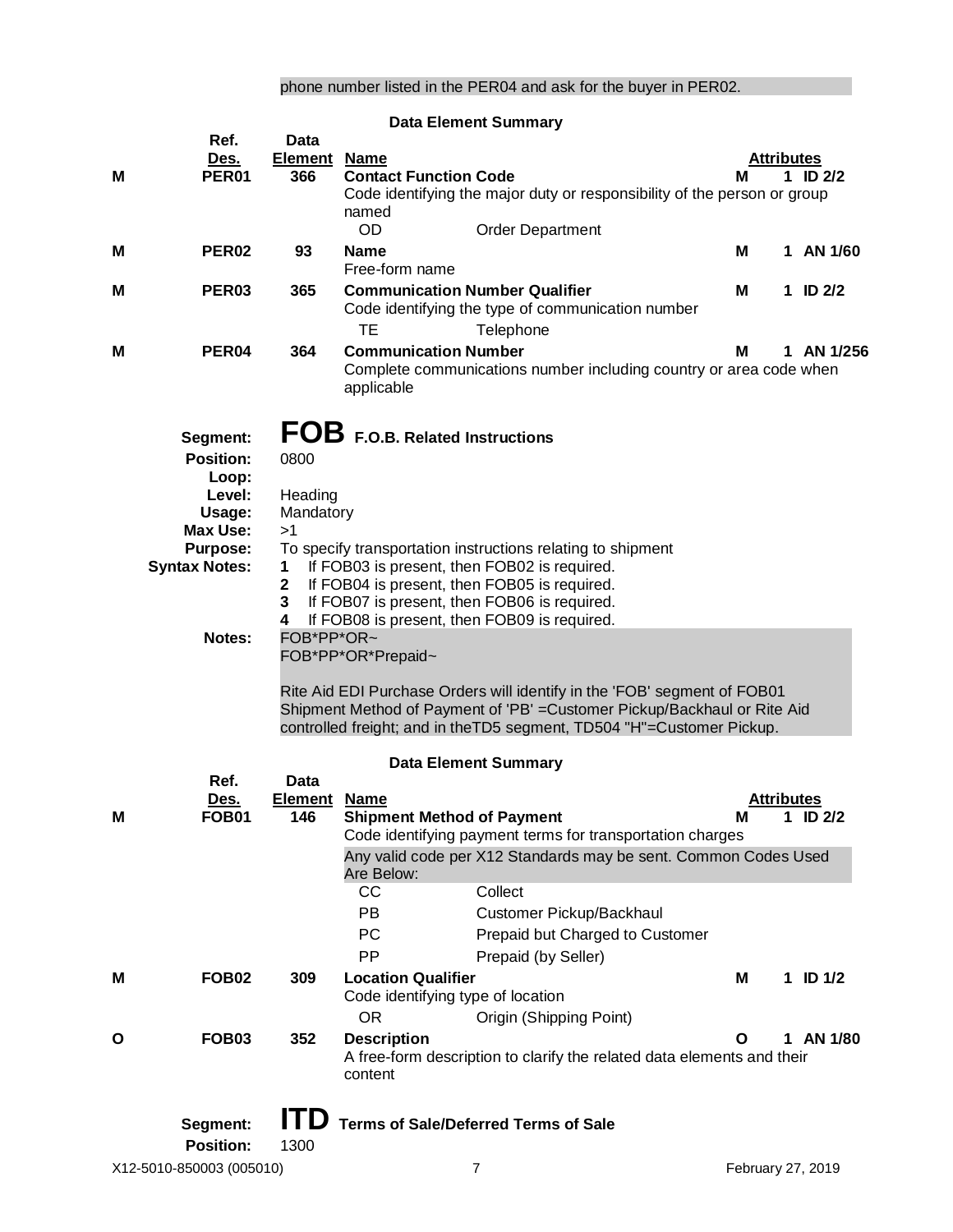# phone number listed in the PER04 and ask for the buyer in PER02.

|   |                             |                     | <b>Data Element Summary</b>                                                                                                                           |   |   |                                        |
|---|-----------------------------|---------------------|-------------------------------------------------------------------------------------------------------------------------------------------------------|---|---|----------------------------------------|
|   | Ref.                        | <b>Data</b>         |                                                                                                                                                       |   |   |                                        |
|   | <u>Des.</u><br><b>PER01</b> | <b>Element</b>      | <b>Name</b>                                                                                                                                           |   |   | <b>Attributes</b><br>ID <sub>2/2</sub> |
| м |                             | 366                 | <b>Contact Function Code</b><br>Code identifying the major duty or responsibility of the person or group                                              | М | 1 |                                        |
|   |                             |                     | named                                                                                                                                                 |   |   |                                        |
|   |                             |                     | <b>OD</b><br><b>Order Department</b>                                                                                                                  |   |   |                                        |
| м | PER <sub>02</sub>           | 93                  | <b>Name</b>                                                                                                                                           | М |   | 1 AN 1/60                              |
|   |                             |                     | Free-form name                                                                                                                                        |   |   |                                        |
| M | PER <sub>03</sub>           | 365                 | <b>Communication Number Qualifier</b><br>Code identifying the type of communication number                                                            | М |   | 1 ID $2/2$                             |
|   |                             |                     | <b>TE</b><br>Telephone                                                                                                                                |   |   |                                        |
| м | PER <sub>04</sub>           | 364                 | <b>Communication Number</b>                                                                                                                           | м |   | 1 AN 1/256                             |
|   |                             |                     | Complete communications number including country or area code when<br>applicable                                                                      |   |   |                                        |
|   | Segment:                    |                     | FOB F.O.B. Related Instructions                                                                                                                       |   |   |                                        |
|   | <b>Position:</b>            | 0800                |                                                                                                                                                       |   |   |                                        |
|   | Loop:                       |                     |                                                                                                                                                       |   |   |                                        |
|   | Level:                      | Heading             |                                                                                                                                                       |   |   |                                        |
|   | Usage:<br><b>Max Use:</b>   | Mandatory<br>>1     |                                                                                                                                                       |   |   |                                        |
|   | <b>Purpose:</b>             |                     | To specify transportation instructions relating to shipment                                                                                           |   |   |                                        |
|   | <b>Syntax Notes:</b>        | 1                   | If FOB03 is present, then FOB02 is required.                                                                                                          |   |   |                                        |
|   |                             | $\mathbf{2}$        | If FOB04 is present, then FOB05 is required.                                                                                                          |   |   |                                        |
|   |                             | $\mathbf{3}$<br>4   | If FOB07 is present, then FOB06 is required.<br>If FOB08 is present, then FOB09 is required.                                                          |   |   |                                        |
|   | <b>Notes:</b>               | FOB*PP*OR~          |                                                                                                                                                       |   |   |                                        |
|   |                             |                     | FOB*PP*OR*Prepaid~                                                                                                                                    |   |   |                                        |
|   |                             |                     |                                                                                                                                                       |   |   |                                        |
|   |                             |                     | Rite Aid EDI Purchase Orders will identify in the 'FOB' segment of FOB01<br>Shipment Method of Payment of 'PB' = Customer Pickup/Backhaul or Rite Aid |   |   |                                        |
|   |                             |                     | controlled freight; and in theTD5 segment, TD504 "H"=Customer Pickup.                                                                                 |   |   |                                        |
|   | Ref.                        | <b>Data</b>         | <b>Data Element Summary</b>                                                                                                                           |   |   |                                        |
|   | Des.                        | <b>Element Name</b> |                                                                                                                                                       |   |   | <b>Attributes</b>                      |
| M | <b>FOB01</b>                | 146                 | <b>Shipment Method of Payment</b>                                                                                                                     | Μ |   | 1 ID $2/2$                             |
|   |                             |                     | Code identifying payment terms for transportation charges                                                                                             |   |   |                                        |
|   |                             |                     | Any valid code per X12 Standards may be sent. Common Codes Used<br>Are Below:                                                                         |   |   |                                        |
|   |                             |                     | CC<br>Collect                                                                                                                                         |   |   |                                        |
|   |                             |                     | <b>PB</b><br>Customer Pickup/Backhaul                                                                                                                 |   |   |                                        |
|   |                             |                     | <b>PC</b><br>Prepaid but Charged to Customer                                                                                                          |   |   |                                        |
|   |                             |                     | <b>PP</b><br>Prepaid (by Seller)                                                                                                                      |   |   |                                        |
| M | <b>FOB02</b>                | 309                 | <b>Location Qualifier</b>                                                                                                                             | Μ |   | 1 ID $1/2$                             |
|   |                             |                     | Code identifying type of location                                                                                                                     |   |   |                                        |
|   |                             |                     | <b>OR</b><br>Origin (Shipping Point)                                                                                                                  |   |   |                                        |
| O | <b>FOB03</b>                | 352                 | <b>Description</b><br>A free-form description to clarify the related data elements and their<br>content                                               | O |   | 1 AN 1/80                              |
|   |                             |                     |                                                                                                                                                       |   |   |                                        |
|   | Segment:                    | <b>ITD</b>          | <b>Terms of Sale/Deferred Terms of Sale</b>                                                                                                           |   |   |                                        |
|   | <b>Position:</b>            | 1300                |                                                                                                                                                       |   |   |                                        |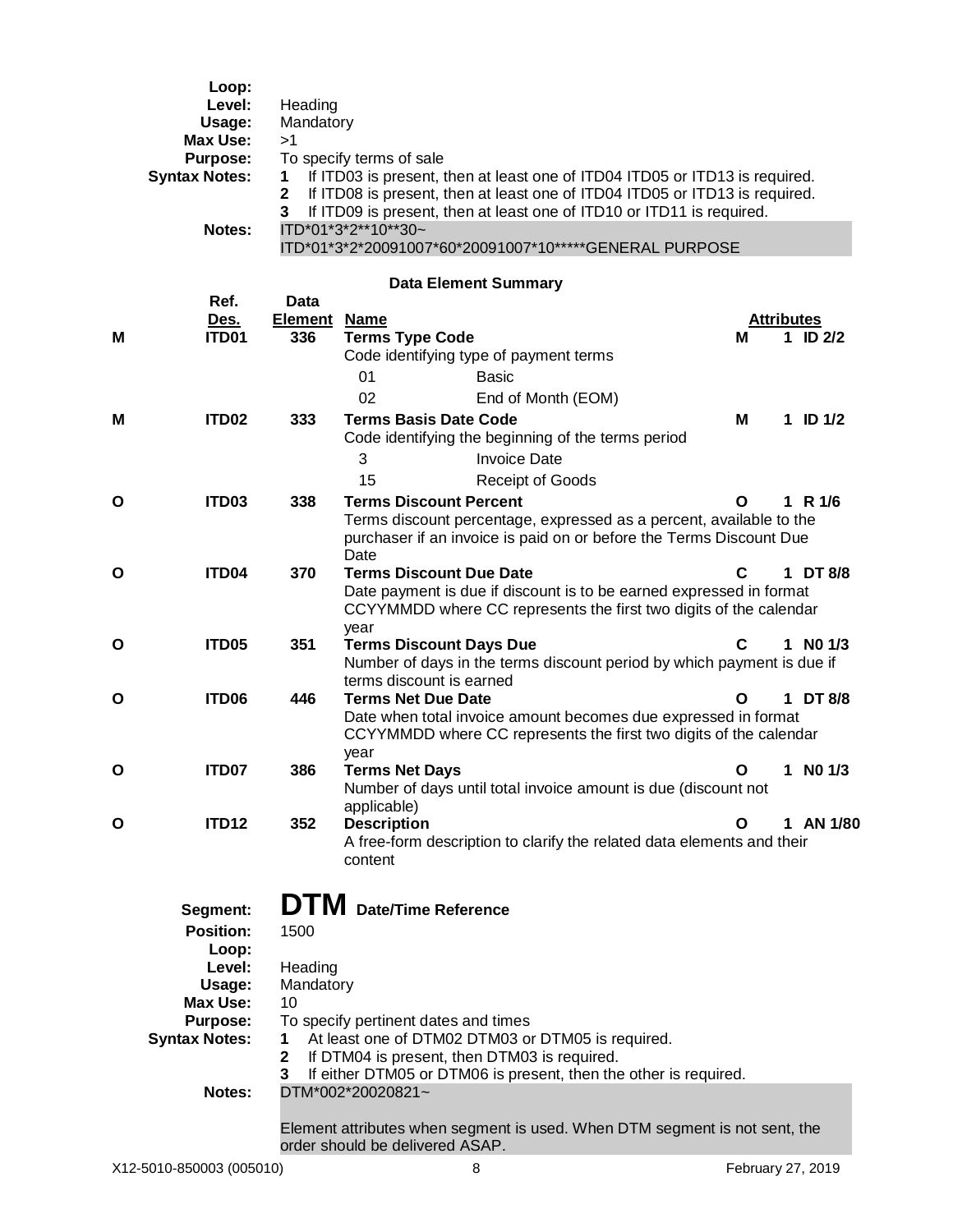|   | Loop:<br>Level:<br>Usage:<br><b>Max Use:</b><br><b>Purpose:</b><br><b>Syntax Notes:</b><br>Notes:                                 | Heading<br>Mandatory<br>>1<br>1<br>2<br>3         | To specify terms of sale<br>If ITD03 is present, then at least one of ITD04 ITD05 or ITD13 is required.<br>If ITD08 is present, then at least one of ITD04 ITD05 or ITD13 is required.<br>If ITD09 is present, then at least one of ITD10 or ITD11 is required.<br>ITD*01*3*2**10**30~<br>ITD*01*3*2*20091007*60*20091007*10*****GENERAL PURPOSE |                        |           |              |
|---|-----------------------------------------------------------------------------------------------------------------------------------|---------------------------------------------------|--------------------------------------------------------------------------------------------------------------------------------------------------------------------------------------------------------------------------------------------------------------------------------------------------------------------------------------------------|------------------------|-----------|--------------|
|   | Ref.                                                                                                                              | Data                                              | <b>Data Element Summary</b>                                                                                                                                                                                                                                                                                                                      |                        |           |              |
| М | <u>Des.</u><br>ITD01                                                                                                              | <b>Element</b><br>336                             | <b>Name</b><br><b>Terms Type Code</b><br>Code identifying type of payment terms                                                                                                                                                                                                                                                                  | <b>Attributes</b><br>м |           | 1 ID $2/2$   |
| Μ | <b>ITD02</b>                                                                                                                      | 333                                               | 01<br><b>Basic</b><br>02<br>End of Month (EOM)<br><b>Terms Basis Date Code</b><br>Code identifying the beginning of the terms period<br>3<br><b>Invoice Date</b><br>15<br><b>Receipt of Goods</b>                                                                                                                                                | M                      |           | 1 ID $1/2$   |
| Ο | ITD03                                                                                                                             | 338                                               | <b>Terms Discount Percent</b><br>Terms discount percentage, expressed as a percent, available to the<br>purchaser if an invoice is paid on or before the Terms Discount Due<br>Date                                                                                                                                                              | О                      | 1 R $1/6$ |              |
| О | ITD <sub>04</sub>                                                                                                                 | 370                                               | <b>Terms Discount Due Date</b><br>Date payment is due if discount is to be earned expressed in format<br>CCYYMMDD where CC represents the first two digits of the calendar<br>year                                                                                                                                                               | C                      |           | 1 DT 8/8     |
| Ο | ITD <sub>05</sub>                                                                                                                 | 351                                               | <b>Terms Discount Days Due</b><br>Number of days in the terms discount period by which payment is due if<br>terms discount is earned                                                                                                                                                                                                             | С                      |           | $1$ NO $1/3$ |
| О | ITD06                                                                                                                             | 446                                               | <b>Terms Net Due Date</b><br>Date when total invoice amount becomes due expressed in format<br>CCYYMMDD where CC represents the first two digits of the calendar<br>year                                                                                                                                                                         | O                      |           | 1 DT 8/8     |
| Ο | ITD07                                                                                                                             | 386                                               | <b>Terms Net Days</b><br>Number of days until total invoice amount is due (discount not<br>applicable)                                                                                                                                                                                                                                           | O                      |           | 1 NO $1/3$   |
| O | <b>ITD12</b>                                                                                                                      | 352                                               | <b>Description</b><br>A free-form description to clarify the related data elements and their<br>content                                                                                                                                                                                                                                          | Ο                      |           | 1 AN 1/80    |
|   | Segment:<br><b>Position:</b><br>Loop:<br>Level:<br>Usage:<br><b>Max Use:</b><br><b>Purpose:</b><br><b>Syntax Notes:</b><br>Notes: | 1500<br>Heading<br>Mandatory<br>10<br>1<br>2<br>3 | <b>DTM</b> Date/Time Reference<br>To specify pertinent dates and times<br>At least one of DTM02 DTM03 or DTM05 is required.<br>If DTM04 is present, then DTM03 is required.<br>If either DTM05 or DTM06 is present, then the other is required.<br>DTM*002*20020821~                                                                             |                        |           |              |
|   |                                                                                                                                   |                                                   | Element attributes when segment is used. When DTM segment is not sent, the<br>order should be delivered ASAP.                                                                                                                                                                                                                                    |                        |           |              |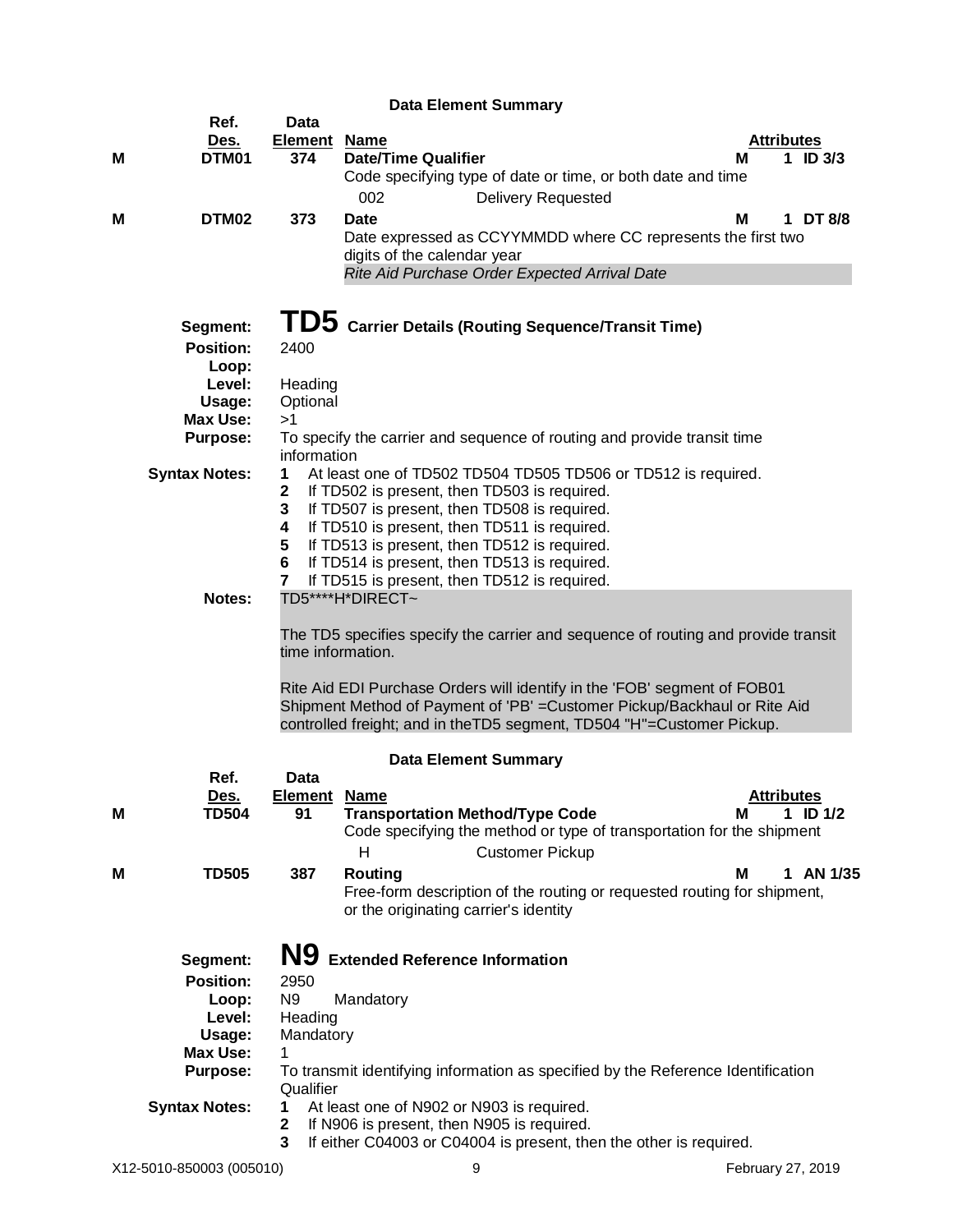|   |                                                                                                                                   |                                                                                                                    | <b>Data Element Summary</b>                                                                                                                                                                                                                                                                                                                                                                                                                                                                                                                                                                                                                                                                                                                                                                                                                |                                      |
|---|-----------------------------------------------------------------------------------------------------------------------------------|--------------------------------------------------------------------------------------------------------------------|--------------------------------------------------------------------------------------------------------------------------------------------------------------------------------------------------------------------------------------------------------------------------------------------------------------------------------------------------------------------------------------------------------------------------------------------------------------------------------------------------------------------------------------------------------------------------------------------------------------------------------------------------------------------------------------------------------------------------------------------------------------------------------------------------------------------------------------------|--------------------------------------|
| м | Ref.<br>Des.<br>DTM01                                                                                                             | Data<br><b>Element</b><br>374                                                                                      | <b>Name</b><br><b>Date/Time Qualifier</b><br>Code specifying type of date or time, or both date and time                                                                                                                                                                                                                                                                                                                                                                                                                                                                                                                                                                                                                                                                                                                                   | <b>Attributes</b><br>1 ID $3/3$<br>м |
| м | DTM02                                                                                                                             | 373                                                                                                                | 002<br><b>Delivery Requested</b><br><b>Date</b><br>Date expressed as CCYYMMDD where CC represents the first two<br>digits of the calendar year<br>Rite Aid Purchase Order Expected Arrival Date                                                                                                                                                                                                                                                                                                                                                                                                                                                                                                                                                                                                                                            | 1 DT 8/8<br>м                        |
|   | Segment:<br><b>Position:</b><br>Loop:<br>Level:<br>Usage:<br><b>Max Use:</b><br><b>Purpose:</b><br><b>Syntax Notes:</b><br>Notes: | 2400<br>Heading<br>Optional<br>>1<br>information<br>1<br>$\mathbf 2$<br>3<br>4<br>5<br>6<br>7<br>time information. | TD5 Carrier Details (Routing Sequence/Transit Time)<br>To specify the carrier and sequence of routing and provide transit time<br>At least one of TD502 TD504 TD505 TD506 or TD512 is required.<br>If TD502 is present, then TD503 is required.<br>If TD507 is present, then TD508 is required.<br>If TD510 is present, then TD511 is required.<br>If TD513 is present, then TD512 is required.<br>If TD514 is present, then TD513 is required.<br>If TD515 is present, then TD512 is required.<br>TD5****H*DIRECT~<br>The TD5 specifies specify the carrier and sequence of routing and provide transit<br>Rite Aid EDI Purchase Orders will identify in the 'FOB' segment of FOB01<br>Shipment Method of Payment of 'PB' = Customer Pickup/Backhaul or Rite Aid<br>controlled freight; and in theTD5 segment, TD504 "H"=Customer Pickup. |                                      |
|   |                                                                                                                                   |                                                                                                                    | <b>Data Element Summary</b>                                                                                                                                                                                                                                                                                                                                                                                                                                                                                                                                                                                                                                                                                                                                                                                                                |                                      |
| Μ | Ref.<br>Des.<br><b>TD504</b>                                                                                                      | Data<br><b>Element</b><br>91                                                                                       | <b>Name</b><br><b>Transportation Method/Type Code</b><br>Code specifying the method or type of transportation for the shipment<br>н<br><b>Customer Pickup</b>                                                                                                                                                                                                                                                                                                                                                                                                                                                                                                                                                                                                                                                                              | <b>Attributes</b><br>1 ID $1/2$<br>м |
| м | <b>TD505</b>                                                                                                                      | 387                                                                                                                | Routing<br>Free-form description of the routing or requested routing for shipment,<br>or the originating carrier's identity                                                                                                                                                                                                                                                                                                                                                                                                                                                                                                                                                                                                                                                                                                                | AN 1/35<br>м                         |
|   | Segment:<br><b>Position:</b><br>Loop:<br>Level:<br>Usage:<br><b>Max Use:</b><br><b>Purpose:</b><br><b>Syntax Notes:</b>           | N9<br>2950<br>N <sub>9</sub><br>Heading<br>Mandatory<br>1<br>Qualifier<br>1<br>$\mathbf 2$<br>3                    | <b>Extended Reference Information</b><br>Mandatory<br>To transmit identifying information as specified by the Reference Identification<br>At least one of N902 or N903 is required.<br>If N906 is present, then N905 is required.<br>If either C04003 or C04004 is present, then the other is required.                                                                                                                                                                                                                                                                                                                                                                                                                                                                                                                                    |                                      |
|   | X12-5010-850003 (005010)                                                                                                          |                                                                                                                    | 9                                                                                                                                                                                                                                                                                                                                                                                                                                                                                                                                                                                                                                                                                                                                                                                                                                          | February 27, 2019                    |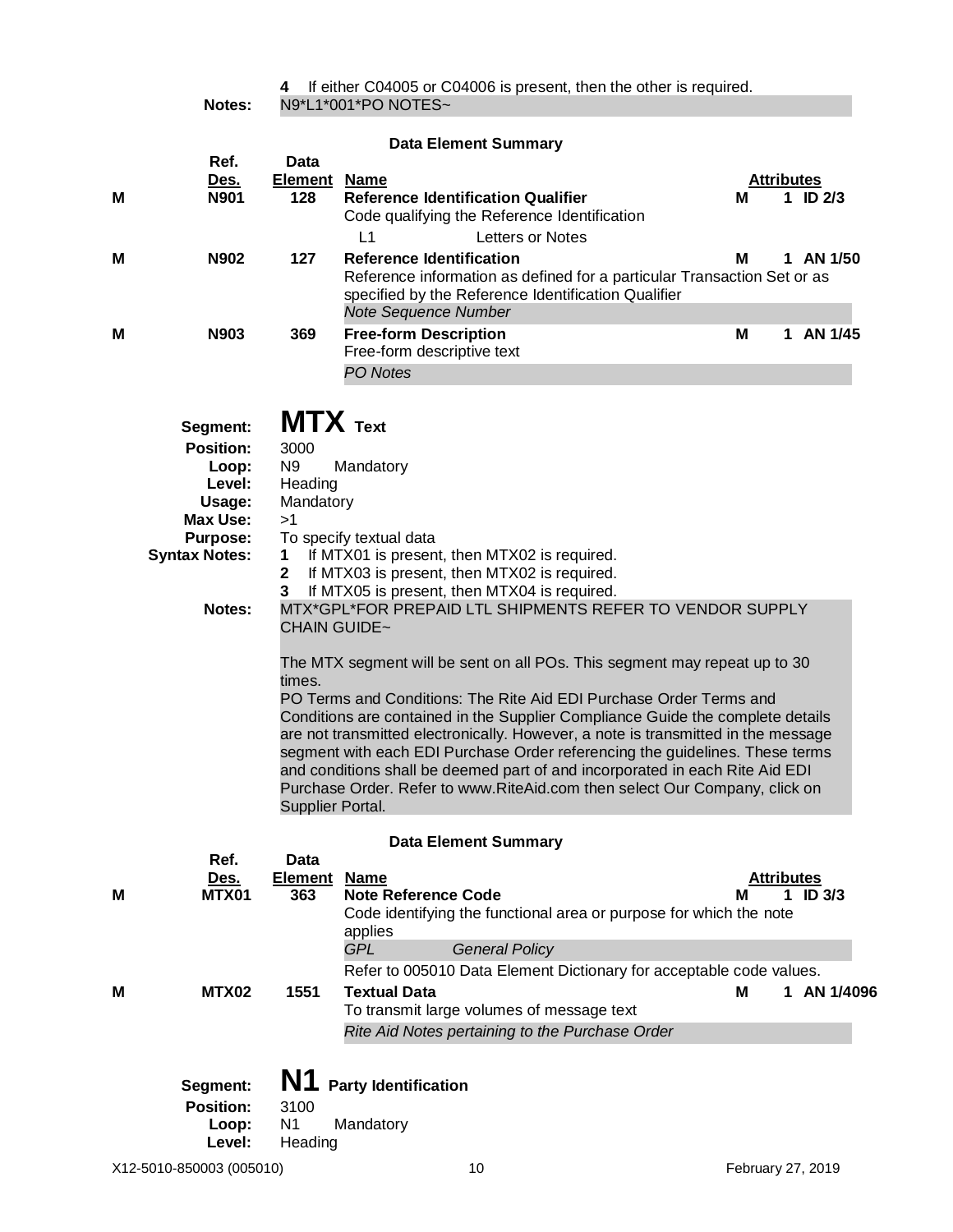|               | 4 If either C04005 or C04006 is present, then the other is required. |
|---------------|----------------------------------------------------------------------|
| <b>Notes:</b> | N9*L1*001*PO NOTES~                                                  |

|   |              |                        | <b>Data Element Summary</b>                                                                                                                                                               |                   |                   |         |
|---|--------------|------------------------|-------------------------------------------------------------------------------------------------------------------------------------------------------------------------------------------|-------------------|-------------------|---------|
|   | Ref.<br>Des. | Data<br><b>Element</b> | Name                                                                                                                                                                                      | <b>Attributes</b> |                   |         |
| м | <b>N901</b>  | 128                    | <b>Reference Identification Qualifier</b><br>Code qualifying the Reference Identification                                                                                                 | М                 | ID <sub>2/3</sub> |         |
|   |              |                        | Letters or Notes<br>L1                                                                                                                                                                    |                   |                   |         |
| M | N902         | 127                    | <b>Reference Identification</b><br>Reference information as defined for a particular Transaction Set or as<br>specified by the Reference Identification Qualifier<br>Note Sequence Number | м                 |                   | AN 1/50 |
| M | N903         | 369                    | <b>Free-form Description</b><br>Free-form descriptive text                                                                                                                                | М                 |                   | AN 1/45 |
|   |              |                        | PO Notes                                                                                                                                                                                  |                   |                   |         |

|   | Segment:<br><b>Position:</b><br>Loop:<br>Level:<br>Usage:<br><b>Max Use:</b><br><b>Purpose:</b><br><b>Syntax Notes:</b><br>Notes: | 3000<br>N <sub>9</sub><br>Heading<br>Mandatory<br>>1<br>1<br>$\mathbf{2}$<br>3<br>times.<br>Supplier Portal. | $MTX$ Text<br>Mandatory<br>To specify textual data<br>If MTX01 is present, then MTX02 is required.<br>If MTX03 is present, then MTX02 is required.<br>If MTX05 is present, then MTX04 is required.<br>MTX*GPL*FOR PREPAID LTL SHIPMENTS REFER TO VENDOR SUPPLY<br><b>CHAIN GUIDE~</b><br>The MTX segment will be sent on all POs. This segment may repeat up to 30<br>PO Terms and Conditions: The Rite Aid EDI Purchase Order Terms and<br>Conditions are contained in the Supplier Compliance Guide the complete details<br>are not transmitted electronically. However, a note is transmitted in the message<br>segment with each EDI Purchase Order referencing the guidelines. These terms<br>and conditions shall be deemed part of and incorporated in each Rite Aid EDI<br>Purchase Order. Refer to www.RiteAid.com then select Our Company, click on |                        |               |  |  |
|---|-----------------------------------------------------------------------------------------------------------------------------------|--------------------------------------------------------------------------------------------------------------|---------------------------------------------------------------------------------------------------------------------------------------------------------------------------------------------------------------------------------------------------------------------------------------------------------------------------------------------------------------------------------------------------------------------------------------------------------------------------------------------------------------------------------------------------------------------------------------------------------------------------------------------------------------------------------------------------------------------------------------------------------------------------------------------------------------------------------------------------------------|------------------------|---------------|--|--|
|   |                                                                                                                                   |                                                                                                              | <b>Data Element Summary</b>                                                                                                                                                                                                                                                                                                                                                                                                                                                                                                                                                                                                                                                                                                                                                                                                                                   |                        |               |  |  |
|   | Ref.                                                                                                                              | Data                                                                                                         |                                                                                                                                                                                                                                                                                                                                                                                                                                                                                                                                                                                                                                                                                                                                                                                                                                                               |                        |               |  |  |
| М | <u>Des.</u><br>MTX01                                                                                                              | <b>Element</b><br>363                                                                                        | <b>Name</b><br><b>Note Reference Code</b><br>Code identifying the functional area or purpose for which the note<br>applies<br><b>GPL</b><br><b>General Policy</b>                                                                                                                                                                                                                                                                                                                                                                                                                                                                                                                                                                                                                                                                                             | <b>Attributes</b><br>м | ID $3/3$<br>1 |  |  |
|   |                                                                                                                                   |                                                                                                              | Refer to 005010 Data Element Dictionary for acceptable code values.                                                                                                                                                                                                                                                                                                                                                                                                                                                                                                                                                                                                                                                                                                                                                                                           |                        |               |  |  |
| М | MTX02                                                                                                                             | 1551                                                                                                         | <b>Textual Data</b><br>To transmit large volumes of message text<br>Rite Aid Notes pertaining to the Purchase Order                                                                                                                                                                                                                                                                                                                                                                                                                                                                                                                                                                                                                                                                                                                                           | Μ                      | 1 AN 1/4096   |  |  |
|   |                                                                                                                                   |                                                                                                              |                                                                                                                                                                                                                                                                                                                                                                                                                                                                                                                                                                                                                                                                                                                                                                                                                                                               |                        |               |  |  |

| Segment:                            |                         | N1 Party Identification |
|-------------------------------------|-------------------------|-------------------------|
| <b>Position:</b><br>Loop:<br>Level: | 3100<br>N1 -<br>Heading | Mandatory               |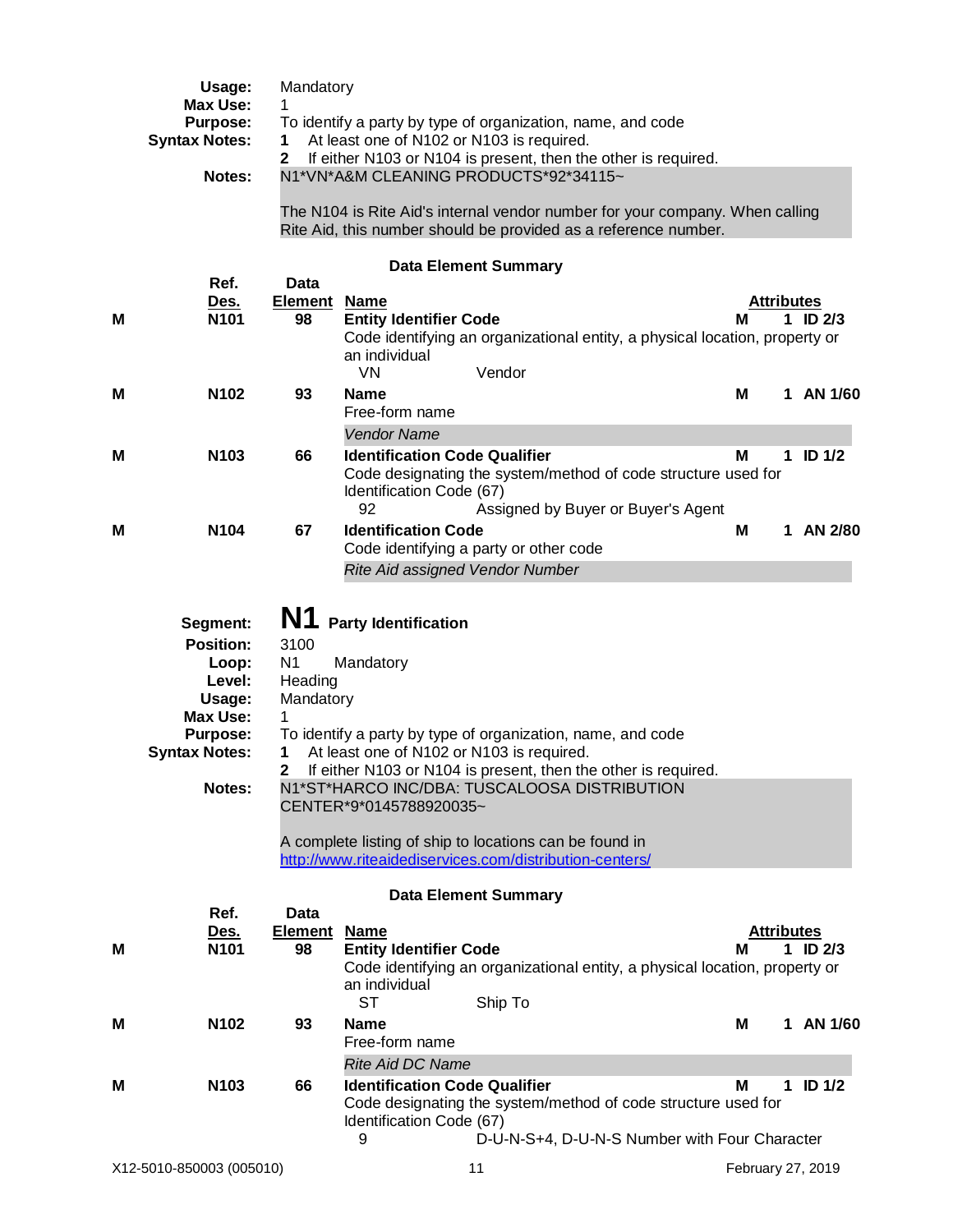|   | Usage:<br><b>Max Use:</b><br><b>Purpose:</b><br><b>Syntax Notes:</b><br>Notes:                                                    | Mandatory<br>1<br>1<br>$\mathbf{2}$                                 | To identify a party by type of organization, name, and code<br>At least one of N102 or N103 is required.<br>N1*VN*A&M CLEANING PRODUCTS*92*34115~                                                                                                                                                                                                     |                                 | If either N103 or N104 is present, then the other is required.                                                                                  |   |                   |                   |
|---|-----------------------------------------------------------------------------------------------------------------------------------|---------------------------------------------------------------------|-------------------------------------------------------------------------------------------------------------------------------------------------------------------------------------------------------------------------------------------------------------------------------------------------------------------------------------------------------|---------------------------------|-------------------------------------------------------------------------------------------------------------------------------------------------|---|-------------------|-------------------|
|   |                                                                                                                                   |                                                                     |                                                                                                                                                                                                                                                                                                                                                       |                                 | The N104 is Rite Aid's internal vendor number for your company. When calling<br>Rite Aid, this number should be provided as a reference number. |   |                   |                   |
|   |                                                                                                                                   |                                                                     |                                                                                                                                                                                                                                                                                                                                                       | <b>Data Element Summary</b>     |                                                                                                                                                 |   |                   |                   |
|   | Ref.                                                                                                                              | <b>Data</b><br><b>Element</b>                                       | <u>Name</u>                                                                                                                                                                                                                                                                                                                                           |                                 |                                                                                                                                                 |   | <b>Attributes</b> |                   |
| м | <u>Des.</u><br>N <sub>101</sub>                                                                                                   | 98                                                                  | <b>Entity Identifier Code</b><br>an individual                                                                                                                                                                                                                                                                                                        |                                 | Code identifying an organizational entity, a physical location, property or                                                                     | м |                   | $1$ ID $2/3$      |
|   |                                                                                                                                   |                                                                     | VN                                                                                                                                                                                                                                                                                                                                                    | Vendor                          |                                                                                                                                                 |   |                   |                   |
| М | N <sub>102</sub>                                                                                                                  | 93                                                                  | <b>Name</b><br>Free-form name                                                                                                                                                                                                                                                                                                                         |                                 |                                                                                                                                                 | м | 1                 | AN 1/60           |
|   |                                                                                                                                   |                                                                     | <b>Vendor Name</b>                                                                                                                                                                                                                                                                                                                                    |                                 |                                                                                                                                                 |   |                   |                   |
| M | N103                                                                                                                              | 66                                                                  | <b>Identification Code Qualifier</b><br>Identification Code (67)<br>92                                                                                                                                                                                                                                                                                |                                 | Code designating the system/method of code structure used for<br>Assigned by Buyer or Buyer's Agent                                             | M |                   | $1$ ID $1/2$      |
| M | N <sub>104</sub>                                                                                                                  | 67                                                                  | <b>Identification Code</b>                                                                                                                                                                                                                                                                                                                            |                                 |                                                                                                                                                 | М | 1                 | AN 2/80           |
|   |                                                                                                                                   |                                                                     | Code identifying a party or other code                                                                                                                                                                                                                                                                                                                |                                 |                                                                                                                                                 |   |                   |                   |
|   |                                                                                                                                   |                                                                     |                                                                                                                                                                                                                                                                                                                                                       | Rite Aid assigned Vendor Number |                                                                                                                                                 |   |                   |                   |
|   | Segment:<br><b>Position:</b><br>Loop:<br>Level:<br>Usage:<br><b>Max Use:</b><br><b>Purpose:</b><br><b>Syntax Notes:</b><br>Notes: | N1<br>3100<br>N <sub>1</sub><br>Heading<br>Mandatory<br>1<br>1<br>2 | <b>Party Identification</b><br>Mandatory<br>To identify a party by type of organization, name, and code<br>At least one of N102 or N103 is required.<br>N1*ST*HARCO INC/DBA: TUSCALOOSA DISTRIBUTION<br>CENTER*9*0145788920035~<br>A complete listing of ship to locations can be found in<br>http://www.riteaidediservices.com/distribution-centers/ |                                 | If either N103 or N104 is present, then the other is required.                                                                                  |   |                   |                   |
|   |                                                                                                                                   |                                                                     |                                                                                                                                                                                                                                                                                                                                                       |                                 |                                                                                                                                                 |   |                   |                   |
| Μ | Ref.<br><u>Des.</u><br>N <sub>101</sub>                                                                                           | Data<br><b>Element Name</b><br>98                                   | <b>Entity Identifier Code</b>                                                                                                                                                                                                                                                                                                                         | <b>Data Element Summary</b>     | Code identifying an organizational entity, a physical location, property or                                                                     | м | <b>Attributes</b> | 1 ID $2/3$        |
|   |                                                                                                                                   |                                                                     | an individual<br><b>ST</b>                                                                                                                                                                                                                                                                                                                            | Ship To                         |                                                                                                                                                 |   |                   |                   |
| M | N <sub>102</sub>                                                                                                                  | 93                                                                  | <b>Name</b><br>Free-form name                                                                                                                                                                                                                                                                                                                         |                                 |                                                                                                                                                 | M |                   | 1 AN 1/60         |
|   |                                                                                                                                   |                                                                     | <b>Rite Aid DC Name</b>                                                                                                                                                                                                                                                                                                                               |                                 |                                                                                                                                                 |   |                   |                   |
| м | N103                                                                                                                              | 66                                                                  | <b>Identification Code Qualifier</b><br>Identification Code (67)<br>9                                                                                                                                                                                                                                                                                 |                                 | Code designating the system/method of code structure used for<br>D-U-N-S+4, D-U-N-S Number with Four Character                                  | м |                   | $1$ ID $1/2$      |
|   | X12-5010-850003 (005010)                                                                                                          |                                                                     |                                                                                                                                                                                                                                                                                                                                                       | 11                              |                                                                                                                                                 |   |                   | February 27, 2019 |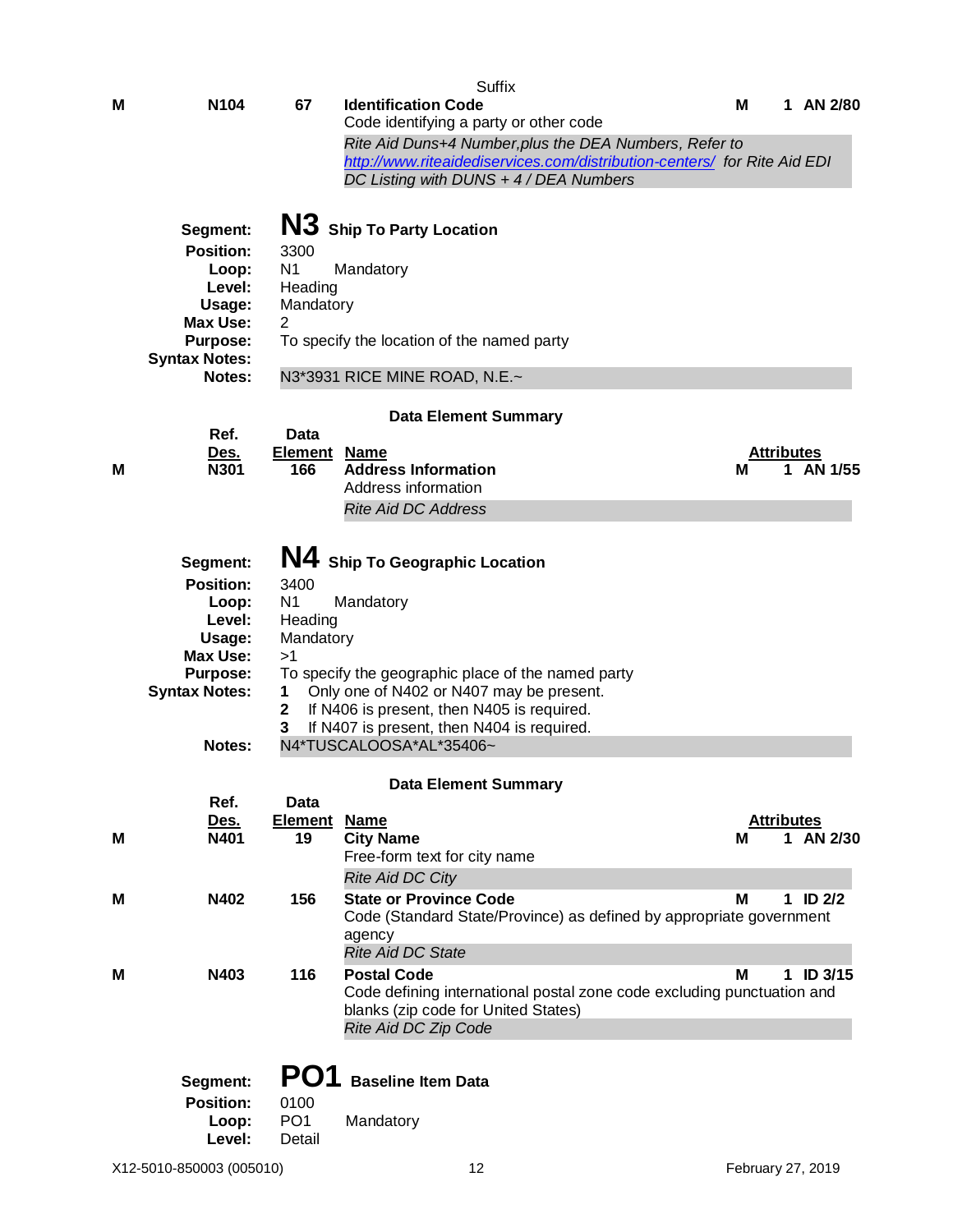|   |                                         |                            | <b>Suffix</b>                                                                                                      |                        |            |               |
|---|-----------------------------------------|----------------------------|--------------------------------------------------------------------------------------------------------------------|------------------------|------------|---------------|
| Μ | N <sub>104</sub>                        | 67                         | <b>Identification Code</b><br>Code identifying a party or other code                                               | м                      |            | 1 AN 2/80     |
|   |                                         |                            | Rite Aid Duns+4 Number, plus the DEA Numbers, Refer to                                                             |                        |            |               |
|   |                                         |                            | http://www.riteaidediservices.com/distribution-centers/ for Rite Aid EDI<br>DC Listing with DUNS + 4 / DEA Numbers |                        |            |               |
|   |                                         |                            |                                                                                                                    |                        |            |               |
|   | Segment:                                |                            | N3 Ship To Party Location                                                                                          |                        |            |               |
|   | <b>Position:</b>                        | 3300                       |                                                                                                                    |                        |            |               |
|   | Loop:<br>Level:                         | N <sub>1</sub><br>Heading  | Mandatory                                                                                                          |                        |            |               |
|   | Usage:                                  | Mandatory                  |                                                                                                                    |                        |            |               |
|   | <b>Max Use:</b>                         | 2                          |                                                                                                                    |                        |            |               |
|   | <b>Purpose:</b><br><b>Syntax Notes:</b> |                            | To specify the location of the named party                                                                         |                        |            |               |
|   | <b>Notes:</b>                           |                            | N3*3931 RICE MINE ROAD, N.E.~                                                                                      |                        |            |               |
|   |                                         |                            | <b>Data Element Summary</b>                                                                                        |                        |            |               |
|   | Ref.                                    | Data                       |                                                                                                                    |                        |            |               |
| Μ | Des.<br><b>N301</b>                     | <b>Element Name</b><br>166 | <b>Address Information</b>                                                                                         | <b>Attributes</b><br>М |            | AN 1/55       |
|   |                                         |                            | Address information                                                                                                |                        |            |               |
|   |                                         |                            | <b>Rite Aid DC Address</b>                                                                                         |                        |            |               |
|   |                                         |                            |                                                                                                                    |                        |            |               |
|   | Segment:                                |                            | N4 Ship To Geographic Location                                                                                     |                        |            |               |
|   | <b>Position:</b><br>Loop:               | 3400<br>N <sub>1</sub>     | Mandatory                                                                                                          |                        |            |               |
|   | Level:                                  | Heading                    |                                                                                                                    |                        |            |               |
|   | Usage:                                  | Mandatory                  |                                                                                                                    |                        |            |               |
|   | <b>Max Use:</b><br><b>Purpose:</b>      | >1                         | To specify the geographic place of the named party                                                                 |                        |            |               |
|   | <b>Syntax Notes:</b>                    | 1                          | Only one of N402 or N407 may be present.                                                                           |                        |            |               |
|   |                                         | $\mathbf 2$                | If N406 is present, then N405 is required.                                                                         |                        |            |               |
|   | <b>Notes:</b>                           | 3                          | If N407 is present, then N404 is required.<br>N4*TUSCALOOSA*AL*35406~                                              |                        |            |               |
|   |                                         |                            |                                                                                                                    |                        |            |               |
|   | Ref.                                    | Data                       | <b>Data Element Summary</b>                                                                                        |                        |            |               |
|   | <u>Des.</u>                             | Element                    | <b>Name</b>                                                                                                        | <b>Attributes</b>      |            |               |
| М | N401                                    | 19                         | <b>City Name</b><br>Free-form text for city name                                                                   | м                      |            | 1 AN 2/30     |
|   |                                         |                            | <b>Rite Aid DC City</b>                                                                                            |                        |            |               |
| М | N402                                    | 156                        | <b>State or Province Code</b>                                                                                      | M                      | 1 ID $2/2$ |               |
|   |                                         |                            | Code (Standard State/Province) as defined by appropriate government                                                |                        |            |               |
|   |                                         |                            | agency<br><b>Rite Aid DC State</b>                                                                                 |                        |            |               |
| М | N403                                    | 116                        | <b>Postal Code</b>                                                                                                 | м                      |            | $1$ ID $3/15$ |
|   |                                         |                            | Code defining international postal zone code excluding punctuation and                                             |                        |            |               |
|   |                                         |                            | blanks (zip code for United States)<br>Rite Aid DC Zip Code                                                        |                        |            |               |
|   |                                         |                            |                                                                                                                    |                        |            |               |
|   | Segment:                                | PO1                        | <b>Baseline Item Data</b>                                                                                          |                        |            |               |
|   | <b>Position:</b>                        | 0100                       |                                                                                                                    |                        |            |               |
|   | Loop:                                   | PO <sub>1</sub>            | Mandatory                                                                                                          |                        |            |               |
|   | Level:                                  | Detail                     |                                                                                                                    |                        |            |               |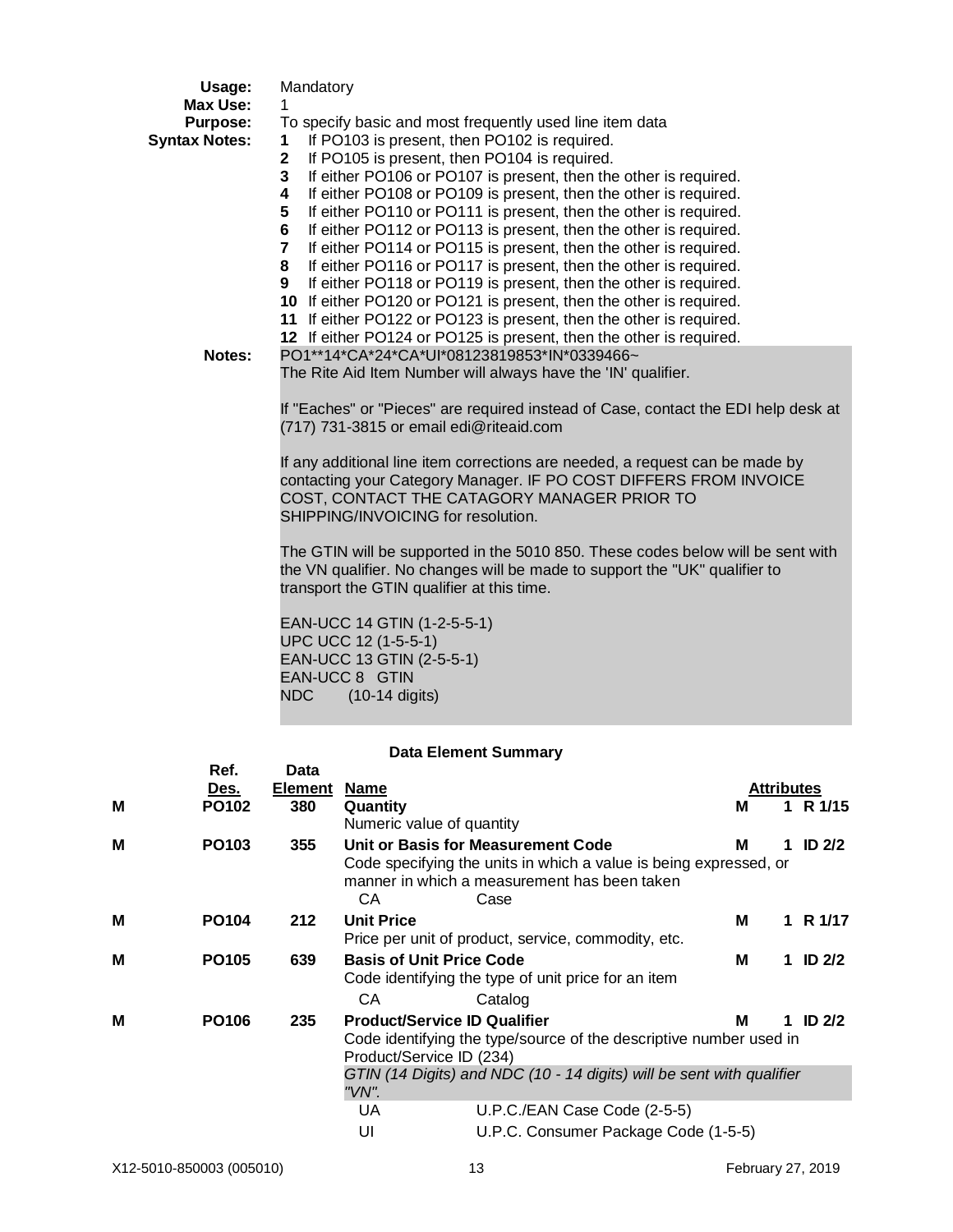|   | Usage:                                                               | Mandatory                                                                                                                                                                                                                                                                                                                                                                                                                                                                                                                                                                                                                                                                                                                                                                                                                                                                                                                                                                             |
|---|----------------------------------------------------------------------|---------------------------------------------------------------------------------------------------------------------------------------------------------------------------------------------------------------------------------------------------------------------------------------------------------------------------------------------------------------------------------------------------------------------------------------------------------------------------------------------------------------------------------------------------------------------------------------------------------------------------------------------------------------------------------------------------------------------------------------------------------------------------------------------------------------------------------------------------------------------------------------------------------------------------------------------------------------------------------------|
|   | <b>Max Use:</b><br><b>Purpose:</b><br><b>Syntax Notes:</b><br>Notes: | 1<br>To specify basic and most frequently used line item data<br>If PO103 is present, then PO102 is required.<br>1<br>If PO105 is present, then PO104 is required.<br>$\mathbf{2}$<br>3<br>If either PO106 or PO107 is present, then the other is required.<br>If either PO108 or PO109 is present, then the other is required.<br>4<br>If either PO110 or PO111 is present, then the other is required.<br>5<br>6<br>If either PO112 or PO113 is present, then the other is required.<br>7<br>If either PO114 or PO115 is present, then the other is required.<br>If either PO116 or PO117 is present, then the other is required.<br>8<br>If either PO118 or PO119 is present, then the other is required.<br>9<br>10 If either PO120 or PO121 is present, then the other is required.<br>11 If either PO122 or PO123 is present, then the other is required.<br>12 If either PO124 or PO125 is present, then the other is required.<br>PO1**14*CA*24*CA*UI*08123819853*IN*0339466~ |
|   |                                                                      | The Rite Aid Item Number will always have the 'IN' qualifier.<br>If "Eaches" or "Pieces" are required instead of Case, contact the EDI help desk at<br>(717) 731-3815 or email edi@riteaid.com<br>If any additional line item corrections are needed, a request can be made by<br>contacting your Category Manager. IF PO COST DIFFERS FROM INVOICE<br>COST, CONTACT THE CATAGORY MANAGER PRIOR TO<br>SHIPPING/INVOICING for resolution.                                                                                                                                                                                                                                                                                                                                                                                                                                                                                                                                              |
|   |                                                                      | The GTIN will be supported in the 5010 850. These codes below will be sent with<br>the VN qualifier. No changes will be made to support the "UK" qualifier to<br>transport the GTIN qualifier at this time.<br>EAN-UCC 14 GTIN (1-2-5-5-1)<br>UPC UCC 12 (1-5-5-1)<br>EAN-UCC 13 GTIN (2-5-5-1)<br>EAN-UCC 8 GTIN<br>NDC<br>$(10-14$ digits)                                                                                                                                                                                                                                                                                                                                                                                                                                                                                                                                                                                                                                          |
|   |                                                                      | <b>Data Element Summary</b>                                                                                                                                                                                                                                                                                                                                                                                                                                                                                                                                                                                                                                                                                                                                                                                                                                                                                                                                                           |
| M | Ref.<br>Des.<br><b>PO102</b>                                         | Data<br><b>Element Name</b><br>Attributes<br>380<br>Quantity<br>1 R 1/15<br>м<br>Numeric value of quantity                                                                                                                                                                                                                                                                                                                                                                                                                                                                                                                                                                                                                                                                                                                                                                                                                                                                            |
|   |                                                                      |                                                                                                                                                                                                                                                                                                                                                                                                                                                                                                                                                                                                                                                                                                                                                                                                                                                                                                                                                                                       |

|   |                   |     |                   | Numeric value of quantity                                                                                                                                       |   |                   |
|---|-------------------|-----|-------------------|-----------------------------------------------------------------------------------------------------------------------------------------------------------------|---|-------------------|
| м | PO <sub>103</sub> | 355 | CА                | Unit or Basis for Measurement Code<br>Code specifying the units in which a value is being expressed, or<br>manner in which a measurement has been taken<br>Case | М | ID <sub>2/2</sub> |
| M | <b>PO104</b>      | 212 | <b>Unit Price</b> | Price per unit of product, service, commodity, etc.                                                                                                             | M | R 1/17            |
| М | <b>PO105</b>      | 639 |                   | <b>Basis of Unit Price Code</b><br>Code identifying the type of unit price for an item                                                                          | М | ID <sub>2/2</sub> |
|   |                   |     | CА                | Catalog                                                                                                                                                         |   |                   |
| М | PO <sub>106</sub> | 235 |                   | <b>Product/Service ID Qualifier</b>                                                                                                                             | М | ID $2/2$          |
|   |                   |     |                   | Code identifying the type/source of the descriptive number used in<br>Product/Service ID (234)                                                                  |   |                   |
|   |                   |     | "VN".             | GTIN (14 Digits) and NDC (10 - 14 digits) will be sent with qualifier                                                                                           |   |                   |
|   |                   |     | UA                | U.P.C./EAN Case Code (2-5-5)                                                                                                                                    |   |                   |
|   |                   |     | UI                | U.P.C. Consumer Package Code (1-5-5)                                                                                                                            |   |                   |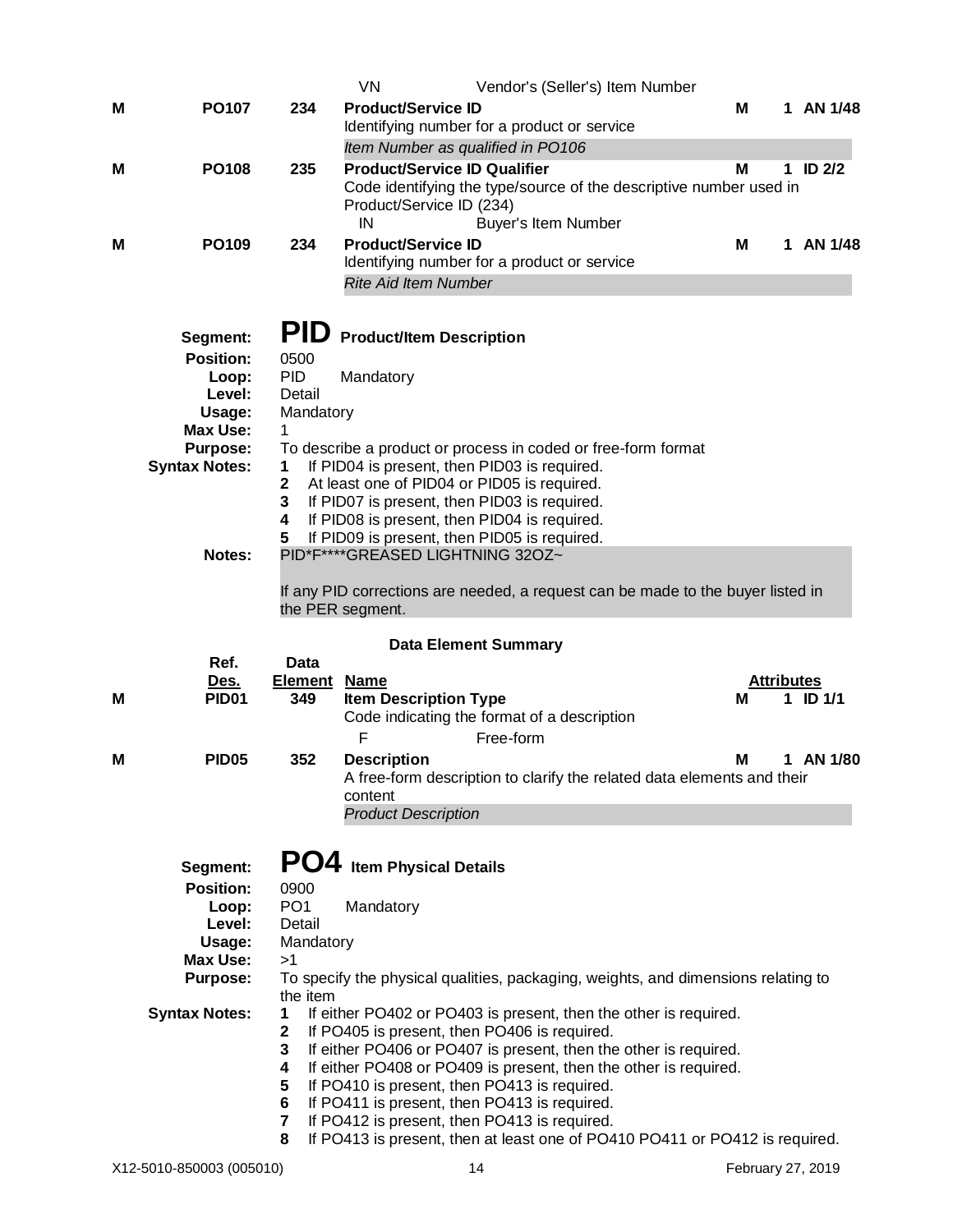|   |                                              |                                        | VN<br>Vendor's (Seller's) Item Number                                                                                                                                                                                                                                                                        |   |                   |            |
|---|----------------------------------------------|----------------------------------------|--------------------------------------------------------------------------------------------------------------------------------------------------------------------------------------------------------------------------------------------------------------------------------------------------------------|---|-------------------|------------|
| Μ | <b>PO107</b>                                 | 234                                    | <b>Product/Service ID</b><br>Identifying number for a product or service                                                                                                                                                                                                                                     | М |                   | 1 AN 1/48  |
|   |                                              |                                        | Item Number as qualified in PO106                                                                                                                                                                                                                                                                            |   |                   |            |
| М | <b>PO108</b>                                 | 235                                    | <b>Product/Service ID Qualifier</b><br>Code identifying the type/source of the descriptive number used in<br>Product/Service ID (234)<br>IN<br>Buyer's Item Number                                                                                                                                           | M |                   | 1 ID $2/2$ |
| M | <b>PO109</b>                                 | 234                                    | <b>Product/Service ID</b><br>Identifying number for a product or service                                                                                                                                                                                                                                     | М |                   | 1 AN 1/48  |
|   | Segment:<br><b>Position:</b>                 | <b>PID</b><br>0500                     | <b>Rite Aid Item Number</b><br><b>Product/Item Description</b>                                                                                                                                                                                                                                               |   |                   |            |
|   | Loop:<br>Level:<br>Usage:<br><b>Max Use:</b> | <b>PID</b><br>Detail<br>Mandatory<br>1 | Mandatory                                                                                                                                                                                                                                                                                                    |   |                   |            |
|   | <b>Purpose:</b><br><b>Syntax Notes:</b>      | 1<br>$\mathbf{2}$<br>3<br>4<br>5       | To describe a product or process in coded or free-form format<br>If PID04 is present, then PID03 is required.<br>At least one of PID04 or PID05 is required.<br>If PID07 is present, then PID03 is required.<br>If PID08 is present, then PID04 is required.<br>If PID09 is present, then PID05 is required. |   |                   |            |
|   | Notes:<br>Ref.                               | Data                                   | PID*F****GREASED LIGHTNING 32OZ~<br>If any PID corrections are needed, a request can be made to the buyer listed in<br>the PER segment.<br><b>Data Element Summary</b>                                                                                                                                       |   |                   |            |
|   |                                              |                                        |                                                                                                                                                                                                                                                                                                              |   |                   |            |
|   |                                              |                                        |                                                                                                                                                                                                                                                                                                              |   |                   |            |
| М | <u>Des.</u><br><b>PID01</b>                  | <b>Element</b><br>349                  | <b>Name</b><br><b>Item Description Type</b><br>Code indicating the format of a description<br>F<br>Free-form                                                                                                                                                                                                 | М | <b>Attributes</b> | 1 ID $1/1$ |
| Μ | <b>PID05</b>                                 | 352                                    | <b>Description</b><br>A free-form description to clarify the related data elements and their<br>content<br><b>Product Description</b>                                                                                                                                                                        | M |                   | 1 AN 1/80  |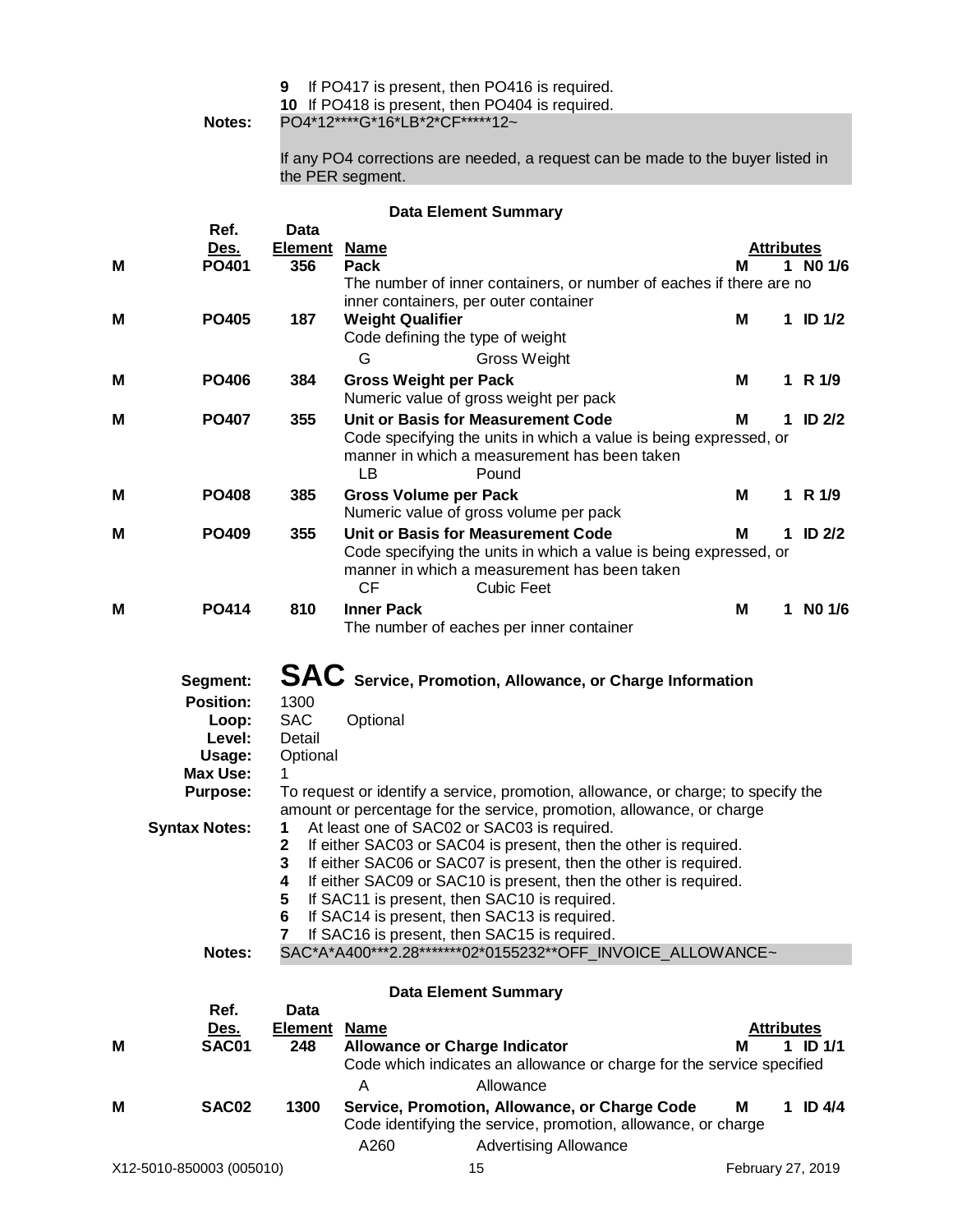**10** If PO418 is present, then PO404 is required.

**Notes:** PO4\*12\*\*\*\*G\*16\*LB\*2\*CF\*\*\*\*\*12~

If any PO4 corrections are needed, a request can be made to the buyer listed in the PER segment.

#### **Data Element Summary**

|   | Ref.                 |                       | Dala ∟icinciil Juliililai y                                                                                          |                   |    |               |
|---|----------------------|-----------------------|----------------------------------------------------------------------------------------------------------------------|-------------------|----|---------------|
|   |                      | Data                  |                                                                                                                      | <b>Attributes</b> |    |               |
| М | Des.<br>PO401        | <b>Element</b><br>356 | <b>Name</b><br>Pack                                                                                                  | м                 | 1  | NO 1/6        |
|   |                      |                       | The number of inner containers, or number of eaches if there are no                                                  |                   |    |               |
|   |                      |                       | inner containers, per outer container                                                                                |                   |    |               |
| Μ | <b>PO405</b>         | 187                   | <b>Weight Qualifier</b>                                                                                              | M                 |    | 1 ID $1/2$    |
|   |                      |                       | Code defining the type of weight                                                                                     |                   |    |               |
|   |                      |                       | G<br>Gross Weight                                                                                                    |                   |    |               |
| Μ | <b>PO406</b>         | 384                   | <b>Gross Weight per Pack</b>                                                                                         | M                 |    | 1 R $1/9$     |
|   |                      |                       | Numeric value of gross weight per pack                                                                               |                   |    |               |
| Μ | <b>PO407</b>         | 355                   | Unit or Basis for Measurement Code                                                                                   | м                 | 1. | <b>ID 2/2</b> |
|   |                      |                       | Code specifying the units in which a value is being expressed, or                                                    |                   |    |               |
|   |                      |                       | manner in which a measurement has been taken                                                                         |                   |    |               |
|   |                      |                       | <b>LB</b><br>Pound                                                                                                   |                   |    |               |
| Μ | <b>PO408</b>         | 385                   | <b>Gross Volume per Pack</b>                                                                                         | м                 |    | 1 R $1/9$     |
|   |                      |                       | Numeric value of gross volume per pack                                                                               |                   |    |               |
| Μ | <b>PO409</b>         | 355                   | Unit or Basis for Measurement Code                                                                                   | M                 |    | 1 ID $2/2$    |
|   |                      |                       | Code specifying the units in which a value is being expressed, or                                                    |                   |    |               |
|   |                      |                       | manner in which a measurement has been taken<br><b>CF</b><br><b>Cubic Feet</b>                                       |                   |    |               |
|   |                      |                       |                                                                                                                      |                   |    |               |
| Μ | <b>PO414</b>         | 810                   | <b>Inner Pack</b><br>The number of eaches per inner container                                                        | M                 |    | 1 NO $1/6$    |
|   |                      |                       |                                                                                                                      |                   |    |               |
|   |                      |                       |                                                                                                                      |                   |    |               |
|   | Segment:             |                       | SAC Service, Promotion, Allowance, or Charge Information                                                             |                   |    |               |
|   | <b>Position:</b>     | 1300                  |                                                                                                                      |                   |    |               |
|   | Loop:                | <b>SAC</b>            | Optional                                                                                                             |                   |    |               |
|   | Level:               | Detail                |                                                                                                                      |                   |    |               |
|   | Usage:               | Optional              |                                                                                                                      |                   |    |               |
|   | <b>Max Use:</b>      | 1                     |                                                                                                                      |                   |    |               |
|   | <b>Purpose:</b>      |                       | To request or identify a service, promotion, allowance, or charge; to specify the                                    |                   |    |               |
|   | <b>Syntax Notes:</b> | 1                     | amount or percentage for the service, promotion, allowance, or charge<br>At least one of SAC02 or SAC03 is required. |                   |    |               |
|   |                      | $\mathbf{2}$          | If either SAC03 or SAC04 is present, then the other is required.                                                     |                   |    |               |
|   |                      | 3                     | If either SAC06 or SAC07 is present, then the other is required.                                                     |                   |    |               |
|   |                      | 4                     | If either SAC09 or SAC10 is present, then the other is required.                                                     |                   |    |               |
|   |                      | 5                     | If SAC11 is present, then SAC10 is required.                                                                         |                   |    |               |
|   |                      | 6                     | If SAC14 is present, then SAC13 is required.                                                                         |                   |    |               |
|   |                      | 7                     | If SAC16 is present, then SAC15 is required.                                                                         |                   |    |               |
|   | Notes:               |                       | SAC*A*A400***2.28*******02*0155232**OFF INVOICE ALLOWANCE~                                                           |                   |    |               |
|   |                      |                       |                                                                                                                      |                   |    |               |
|   | Ref.                 | <b>Data</b>           | <b>Data Element Summary</b>                                                                                          |                   |    |               |
|   | Des.                 | <b>Element</b>        | <u>Name</u>                                                                                                          | <b>Attributes</b> |    |               |
| Μ | <b>SAC01</b>         | 248                   | <b>Allowance or Charge Indicator</b>                                                                                 | м                 |    | $1$ ID $1/1$  |
|   |                      |                       | Code which indicates an allowance or charge for the service specified                                                |                   |    |               |
|   |                      |                       | Allowance<br>A                                                                                                       |                   |    |               |
| М | SAC02                | 1300                  | Service, Promotion, Allowance, or Charge Code                                                                        | Μ                 |    | 1 ID $4/4$    |
|   |                      |                       | Code identifying the service, promotion, allowance, or charge                                                        |                   |    |               |
|   |                      |                       | A260<br><b>Advertising Allowance</b>                                                                                 |                   |    |               |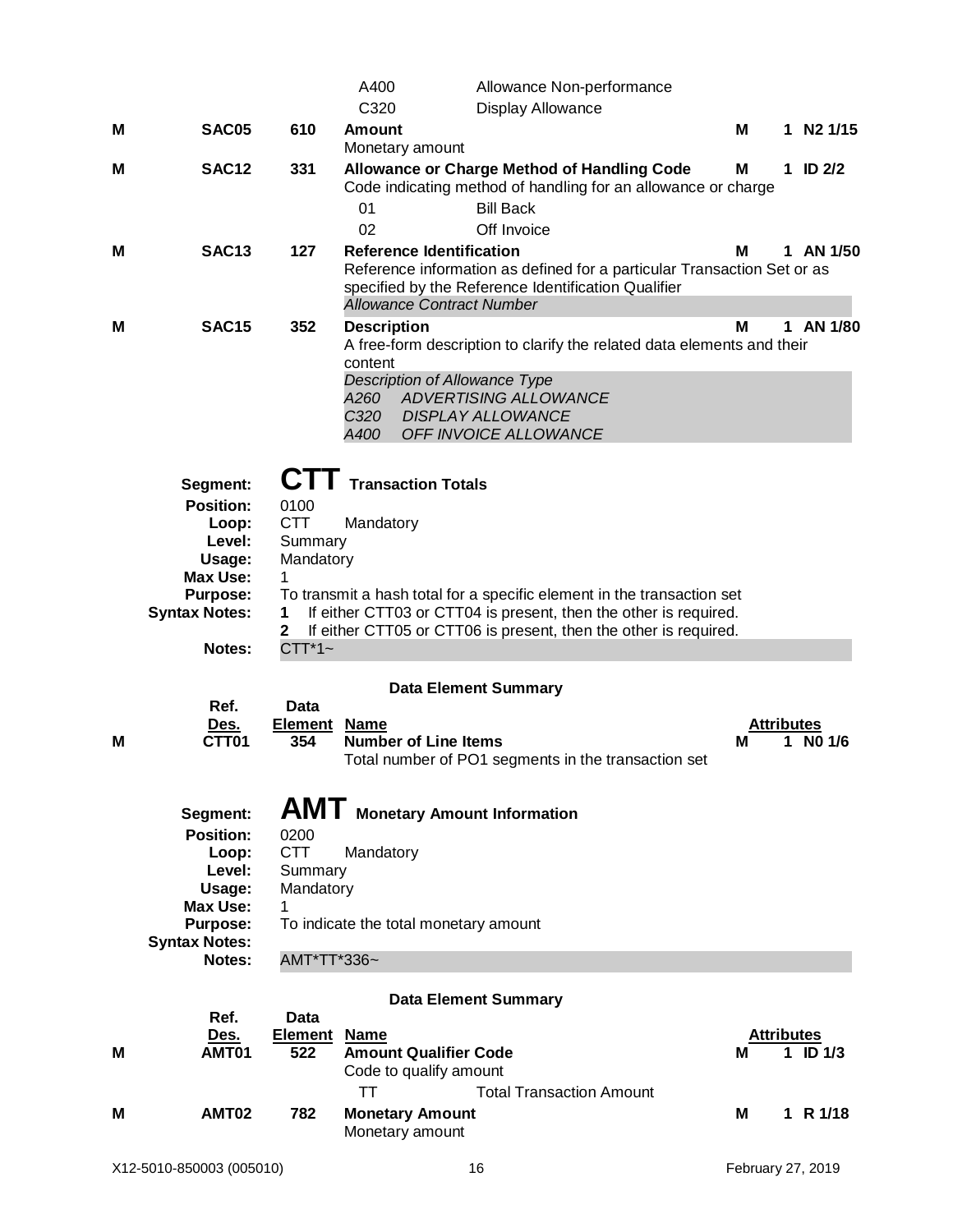|   |                                                                                                                            |                                                                             | A400                                                  |                                                                     | Allowance Non-performance                                                                                                                                                                                      |                        |              |
|---|----------------------------------------------------------------------------------------------------------------------------|-----------------------------------------------------------------------------|-------------------------------------------------------|---------------------------------------------------------------------|----------------------------------------------------------------------------------------------------------------------------------------------------------------------------------------------------------------|------------------------|--------------|
|   |                                                                                                                            |                                                                             | C320                                                  |                                                                     | <b>Display Allowance</b>                                                                                                                                                                                       |                        |              |
| M | SAC05                                                                                                                      | 610                                                                         | <b>Amount</b>                                         | Monetary amount                                                     |                                                                                                                                                                                                                | М                      | 1 N2 1/15    |
| м | <b>SAC12</b>                                                                                                               | 331                                                                         | 01<br>02                                              |                                                                     | <b>Allowance or Charge Method of Handling Code</b><br>Code indicating method of handling for an allowance or charge<br><b>Bill Back</b><br>Off Invoice                                                         | м                      | 1 ID $2/2$   |
| м | <b>SAC13</b>                                                                                                               | 127                                                                         |                                                       | <b>Reference Identification</b><br><b>Allowance Contract Number</b> | Reference information as defined for a particular Transaction Set or as<br>specified by the Reference Identification Qualifier                                                                                 | м                      | 1 AN 1/50    |
| м | <b>SAC15</b>                                                                                                               | 352                                                                         | <b>Description</b><br>content<br>A260<br>C320<br>A400 |                                                                     | A free-form description to clarify the related data elements and their<br><b>Description of Allowance Type</b><br>ADVERTISING ALLOWANCE<br><b>DISPLAY ALLOWANCE</b><br>OFF INVOICE ALLOWANCE                   | M                      | 1 AN 1/80    |
|   | Segment:<br><b>Position:</b><br>Loop:<br>Level:<br>Usage:<br>Max Use:<br><b>Purpose:</b><br><b>Syntax Notes:</b><br>Notes: | <b>CII</b><br>0100<br><b>CTT</b><br>Summary<br>Mandatory<br>2<br>$CTT^*1$ ~ | Mandatory                                             | <b>Transaction Totals</b>                                           | To transmit a hash total for a specific element in the transaction set<br>If either CTT03 or CTT04 is present, then the other is required.<br>If either CTT05 or CTT06 is present, then the other is required. |                        |              |
|   |                                                                                                                            |                                                                             |                                                       |                                                                     | <b>Data Element Summary</b>                                                                                                                                                                                    |                        |              |
| M | Ref.<br><u>Des.</u><br>CTT01                                                                                               | Data<br>Element<br>354                                                      | <b>Name</b>                                           | <b>Number of Line Items</b>                                         | Total number of PO1 segments in the transaction set                                                                                                                                                            | <b>Attributes</b><br>м | 1 NO $1/6$   |
|   | Segment:<br><b>Position:</b><br>Loop:<br>Level:<br>Usage:<br>Max Use:<br><b>Purpose:</b><br><b>Syntax Notes:</b><br>Notes: | 0200<br><b>CTT</b><br>Summary<br>Mandatory<br>1<br>AMT*TT*336~              | Mandatory                                             | To indicate the total monetary amount                               | AMT Monetary Amount Information                                                                                                                                                                                |                        |              |
|   |                                                                                                                            |                                                                             |                                                       |                                                                     | <b>Data Element Summary</b>                                                                                                                                                                                    |                        |              |
| M | Ref.<br>Des.<br>AMT01                                                                                                      | Data<br><b>Element Name</b><br>522                                          | TT                                                    | <b>Amount Qualifier Code</b><br>Code to qualify amount              | <b>Total Transaction Amount</b>                                                                                                                                                                                | <b>Attributes</b><br>м | $1$ ID $1/3$ |
| м | AMT02                                                                                                                      | 782                                                                         |                                                       | <b>Monetary Amount</b><br>Monetary amount                           |                                                                                                                                                                                                                | М                      | 1 R $1/18$   |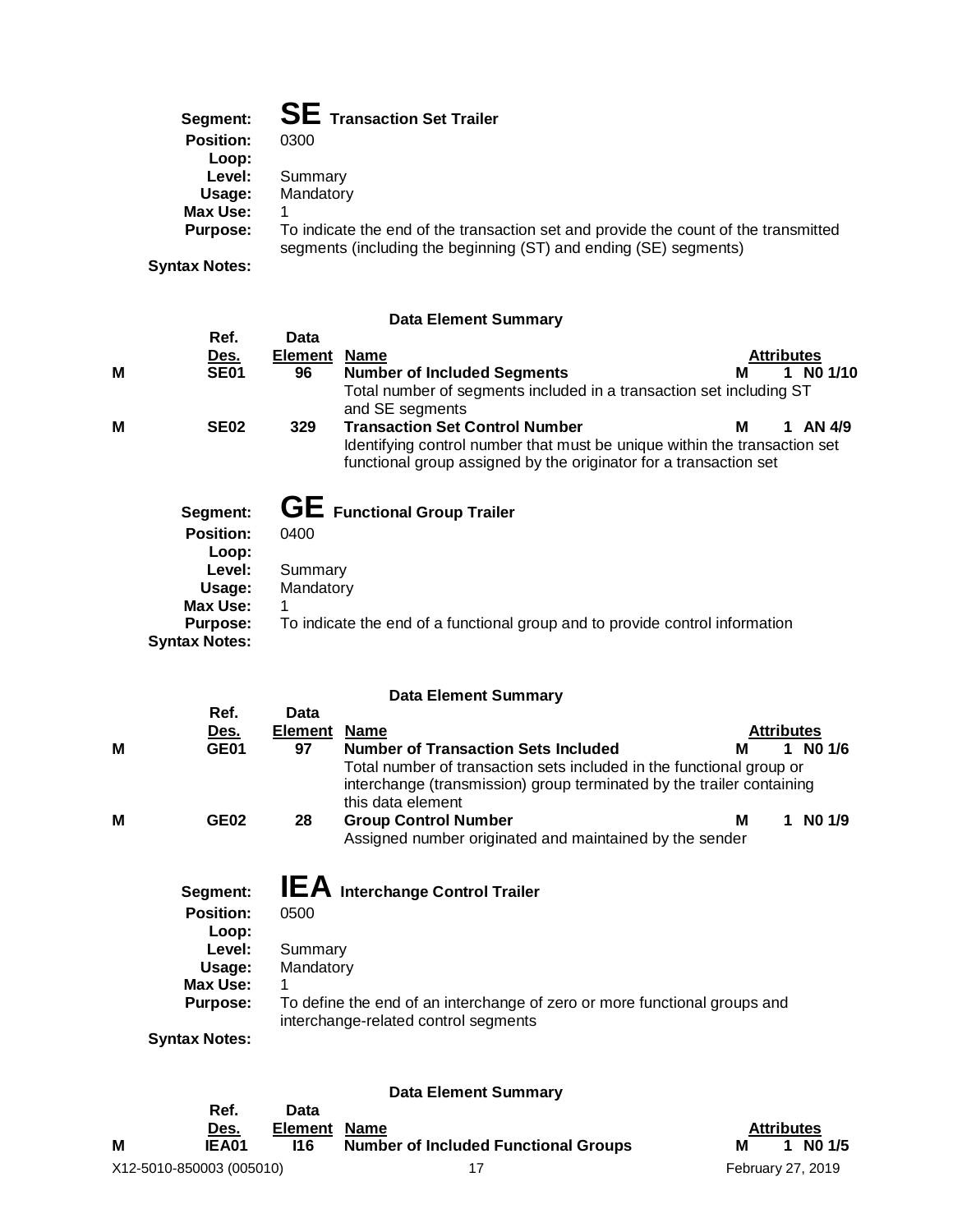| Segment: | <b>SE</b> Transaction Set Trailer |
|----------|-----------------------------------|
|----------|-----------------------------------|

| <b>Position:</b> | 0300                                                                                                                                                    |
|------------------|---------------------------------------------------------------------------------------------------------------------------------------------------------|
| Loop:            |                                                                                                                                                         |
| Level:           | Summary                                                                                                                                                 |
| Usage:           | Mandatory                                                                                                                                               |
| Max Use:         |                                                                                                                                                         |
| Purpose:         | To indicate the end of the transaction set and provide the count of the transmitted<br>segments (including the beginning (ST) and ending (SE) segments) |
|                  |                                                                                                                                                         |
|                  |                                                                                                                                                         |

**Syntax Notes:**

# **Data Element Summary**

|   | Ref.                 | Data           |                                                                                                                                                |   |                   |           |
|---|----------------------|----------------|------------------------------------------------------------------------------------------------------------------------------------------------|---|-------------------|-----------|
|   | Des.                 | <b>Element</b> | <b>Name</b>                                                                                                                                    |   | <b>Attributes</b> |           |
| M | <b>SE01</b>          | 96             | <b>Number of Included Segments</b>                                                                                                             | м |                   | 1 NO 1/10 |
|   |                      |                | Total number of segments included in a transaction set including ST<br>and SE segments                                                         |   |                   |           |
| M | <b>SE02</b>          | 329            | <b>Transaction Set Control Number</b>                                                                                                          | м |                   | AN 4/9    |
|   |                      |                | Identifying control number that must be unique within the transaction set<br>functional group assigned by the originator for a transaction set |   |                   |           |
|   | Segment:             |                | <b>GE</b> Functional Group Trailer                                                                                                             |   |                   |           |
|   | <b>Position:</b>     | 0400           |                                                                                                                                                |   |                   |           |
|   | Loop:                |                |                                                                                                                                                |   |                   |           |
|   | Level:               | Summary        |                                                                                                                                                |   |                   |           |
|   | Usage:               | Mandatory      |                                                                                                                                                |   |                   |           |
|   | Max Use:             |                |                                                                                                                                                |   |                   |           |
|   | <b>Purpose:</b>      |                | To indicate the end of a functional group and to provide control information                                                                   |   |                   |           |
|   | <b>Syntax Notes:</b> |                |                                                                                                                                                |   |                   |           |

# **Data Element Summary**

|   | Ref.<br>Des.     | Data<br><b>Element</b> | <b>Name</b>                                                                                                                                                        | <b>Attributes</b> |        |
|---|------------------|------------------------|--------------------------------------------------------------------------------------------------------------------------------------------------------------------|-------------------|--------|
| M | GE01             | 97                     | <b>Number of Transaction Sets Included</b><br>М                                                                                                                    |                   | NO 1/6 |
|   |                  |                        | Total number of transaction sets included in the functional group or<br>interchange (transmission) group terminated by the trailer containing<br>this data element |                   |        |
| M | GE <sub>02</sub> | 28                     | <b>Group Control Number</b><br>м<br>Assigned number originated and maintained by the sender                                                                        |                   | NO 1/9 |
|   | Segment:         |                        | $IEA$ Interchange Control Trailer                                                                                                                                  |                   |        |

| segment:         | $\blacksquare$ Interchange Control Trailer                                                                        |
|------------------|-------------------------------------------------------------------------------------------------------------------|
| <b>Position:</b> | 0500                                                                                                              |
| Loop:            |                                                                                                                   |
| Level:           | Summary                                                                                                           |
| Usage:           | Mandatory                                                                                                         |
| Max Use:         |                                                                                                                   |
| <b>Purpose:</b>  | To define the end of an interchange of zero or more functional groups and<br>interchange-related control segments |
| tuntav Natoe:    |                                                                                                                   |

**Syntax Notes:**

|                          | Ref.<br>Des. | Data<br>Element Name |                                             | <b>Attributes</b> |  |  |
|--------------------------|--------------|----------------------|---------------------------------------------|-------------------|--|--|
| M                        | IEA01        | I16                  | <b>Number of Included Functional Groups</b> | 1 NO 1/5<br>м     |  |  |
| X12-5010-850003 (005010) |              |                      |                                             | February 27, 2019 |  |  |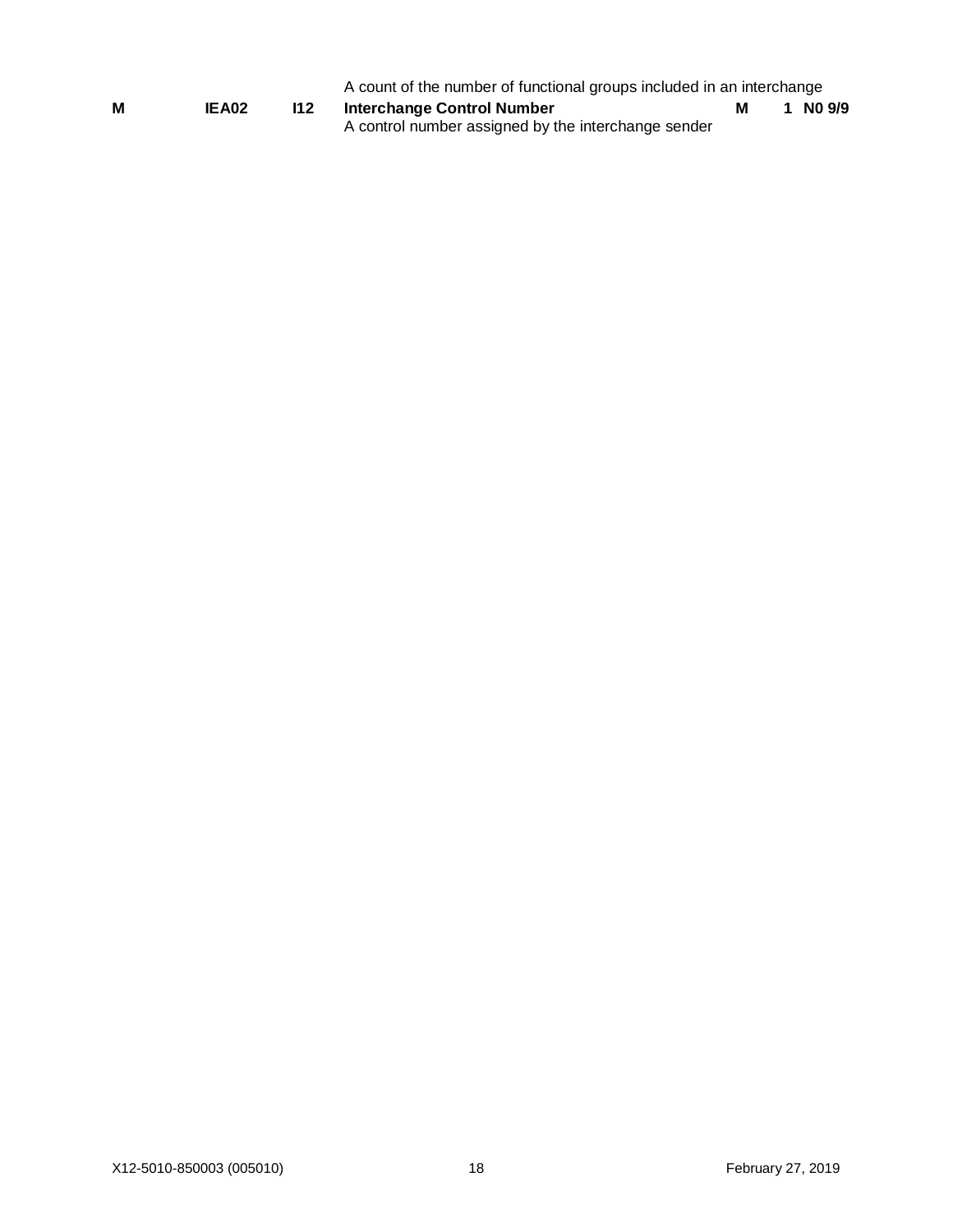|   |              |     | A count of the number of functional groups included in an interchange<br>м |  |  |          |  |
|---|--------------|-----|----------------------------------------------------------------------------|--|--|----------|--|
| М | <b>IEA02</b> | 112 | Interchange Control Number                                                 |  |  | 1 NO 9/9 |  |
|   |              |     | A control number assigned by the interchange sender                        |  |  |          |  |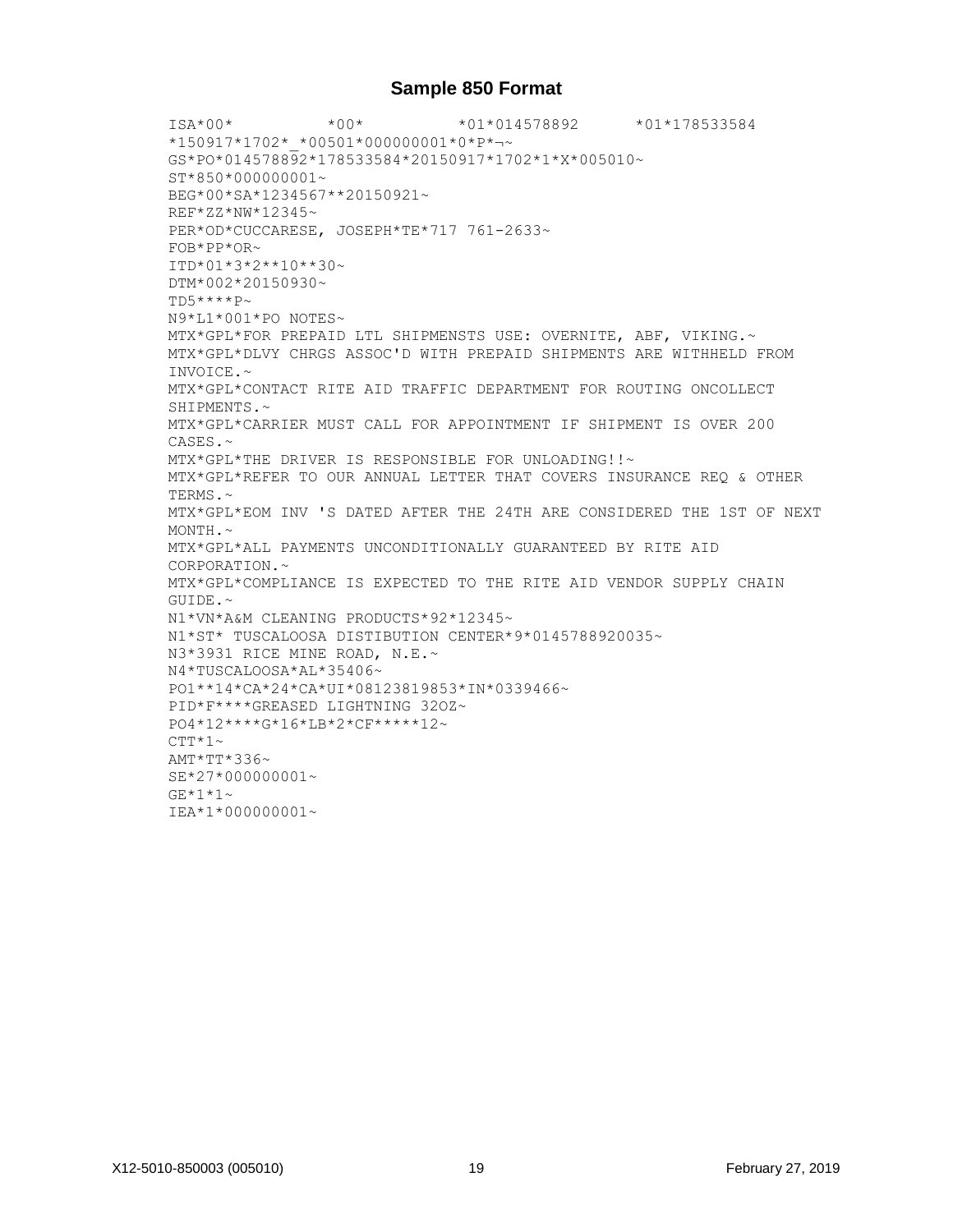### **Sample 850 Format**

ISA\*00\* \*00\* \*01\*014578892 \*01\*178533584 \*150917\*1702\*\_\*00501\*000000001\*0\*P\*¬~ GS\*PO\*014578892\*178533584\*20150917\*1702\*1\*X\*005010~  $ST*850*000000001~$ BEG\*00\*SA\*1234567\*\*20150921~ REF\*ZZ\*NW\*12345~ PER\*OD\*CUCCARESE, JOSEPH\*TE\*717 761-2633~ FOB\*PP\*OR~ ITD\*01\*3\*2\*\*10\*\*30~ DTM\*002\*20150930~ TD5\*\*\*\*P~ N9\*L1\*001\*PO NOTES~ MTX\*GPL\*FOR PREPAID LTL SHIPMENSTS USE: OVERNITE, ABF, VIKING.~ MTX\*GPL\*DLVY CHRGS ASSOC'D WITH PREPAID SHIPMENTS ARE WITHHELD FROM INVOICE.~ MTX\*GPL\*CONTACT RITE AID TRAFFIC DEPARTMENT FOR ROUTING ONCOLLECT SHIPMENTS.~ MTX\*GPL\*CARRIER MUST CALL FOR APPOINTMENT IF SHIPMENT IS OVER 200 CASES.~ MTX\*GPL\*THE DRIVER IS RESPONSIBLE FOR UNLOADING!!~ MTX\*GPL\*REFER TO OUR ANNUAL LETTER THAT COVERS INSURANCE REQ & OTHER TERMS.~ MTX\*GPL\*EOM INV 'S DATED AFTER THE 24TH ARE CONSIDERED THE 1ST OF NEXT  $MONTH ~ ~ ~$ MTX\*GPL\*ALL PAYMENTS UNCONDITIONALLY GUARANTEED BY RITE AID CORPORATION.~ MTX\*GPL\*COMPLIANCE IS EXPECTED TO THE RITE AID VENDOR SUPPLY CHAIN GUIDE.~ N1\*VN\*A&M CLEANING PRODUCTS\*92\*12345~ N1\*ST\* TUSCALOOSA DISTIBUTION CENTER\*9\*0145788920035~ N3\*3931 RICE MINE ROAD, N.E.~ N4\*TUSCALOOSA\*AL\*35406~ PO1\*\*14\*CA\*24\*CA\*UI\*08123819853\*IN\*0339466~ PID\*F\*\*\*\*GREASED LIGHTNING 32OZ~ PO4\*12\*\*\*\*G\*16\*LB\*2\*CF\*\*\*\*\*12~  $CTT*1~$  $AMT*TT*336~$ SE\*27\*000000001~  $GF*1*1~$ ~ IEA\*1\*000000001~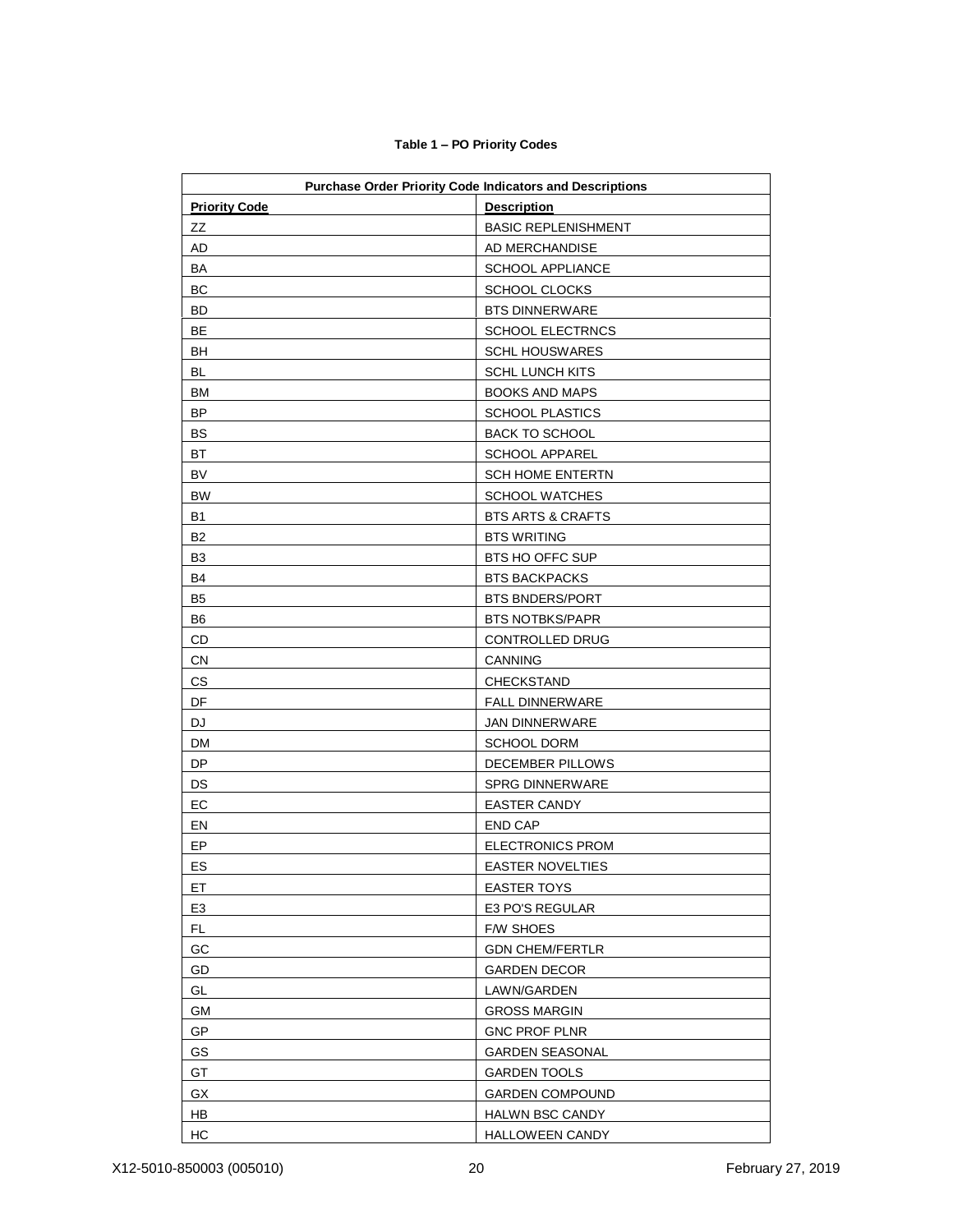| <b>Priority Code</b> | <b>Purchase Order Priority Code Indicators and Descriptions</b><br><b>Description</b> |
|----------------------|---------------------------------------------------------------------------------------|
| ZZ                   | <b>BASIC REPLENISHMENT</b>                                                            |
| AD                   | AD MERCHANDISE                                                                        |
| BA                   | <b>SCHOOL APPLIANCE</b>                                                               |
| BC                   | <b>SCHOOL CLOCKS</b>                                                                  |
| BD                   | <b>BTS DINNERWARE</b>                                                                 |
| BE                   | SCHOOL ELECTRNCS                                                                      |
| BH                   | <b>SCHL HOUSWARES</b>                                                                 |
| BL                   | <b>SCHL LUNCH KITS</b>                                                                |
| BM                   | <b>BOOKS AND MAPS</b>                                                                 |
| <b>BP</b>            | <b>SCHOOL PLASTICS</b>                                                                |
| BS                   | <b>BACK TO SCHOOL</b>                                                                 |
| BT                   | <b>SCHOOL APPAREL</b>                                                                 |
| <b>BV</b>            | <b>SCH HOME ENTERTN</b>                                                               |
| <b>BW</b>            | <b>SCHOOL WATCHES</b>                                                                 |
| <b>B1</b>            | <b>BTS ARTS &amp; CRAFTS</b>                                                          |
| B2                   | <b>BTS WRITING</b>                                                                    |
| B <sub>3</sub>       | BTS HO OFFC SUP                                                                       |
| B4                   | <b>BTS BACKPACKS</b>                                                                  |
| B <sub>5</sub>       | <b>BTS BNDERS/PORT</b>                                                                |
| B <sub>6</sub>       | <b>BTS NOTBKS/PAPR</b>                                                                |
| CD                   | CONTROLLED DRUG                                                                       |
| CN                   | <b>CANNING</b>                                                                        |
| CS                   | CHECKSTAND                                                                            |
| DF                   | <b>FALL DINNERWARE</b>                                                                |
| DJ                   | <b>JAN DINNERWARE</b>                                                                 |
| DM                   | <b>SCHOOL DORM</b>                                                                    |
| DP                   | DECEMBER PILLOWS                                                                      |
| DS                   | <b>SPRG DINNERWARE</b>                                                                |
| EC                   | <b>EASTER CANDY</b>                                                                   |
| EN                   | <b>END CAP</b>                                                                        |
| EP                   | <b>ELECTRONICS PROM</b>                                                               |
| ES                   | <b>EASTER NOVELTIES</b>                                                               |
| ET                   | <b>EASTER TOYS</b>                                                                    |
| E <sub>3</sub>       | E3 PO'S REGULAR                                                                       |
| FL.                  | <b>F/W SHOES</b>                                                                      |
| GC                   | <b>GDN CHEM/FERTLR</b>                                                                |
| GD                   | <b>GARDEN DECOR</b>                                                                   |
| GL                   | LAWN/GARDEN                                                                           |
| GМ                   | <b>GROSS MARGIN</b>                                                                   |
| GP                   | <b>GNC PROF PLNR</b>                                                                  |
| GS                   | <b>GARDEN SEASONAL</b>                                                                |
| GT                   | <b>GARDEN TOOLS</b>                                                                   |
| GX                   | <b>GARDEN COMPOUND</b>                                                                |
| HB                   | <b>HALWN BSC CANDY</b>                                                                |
| HC                   | <b>HALLOWEEN CANDY</b>                                                                |

#### **Table 1 – PO Priority Codes**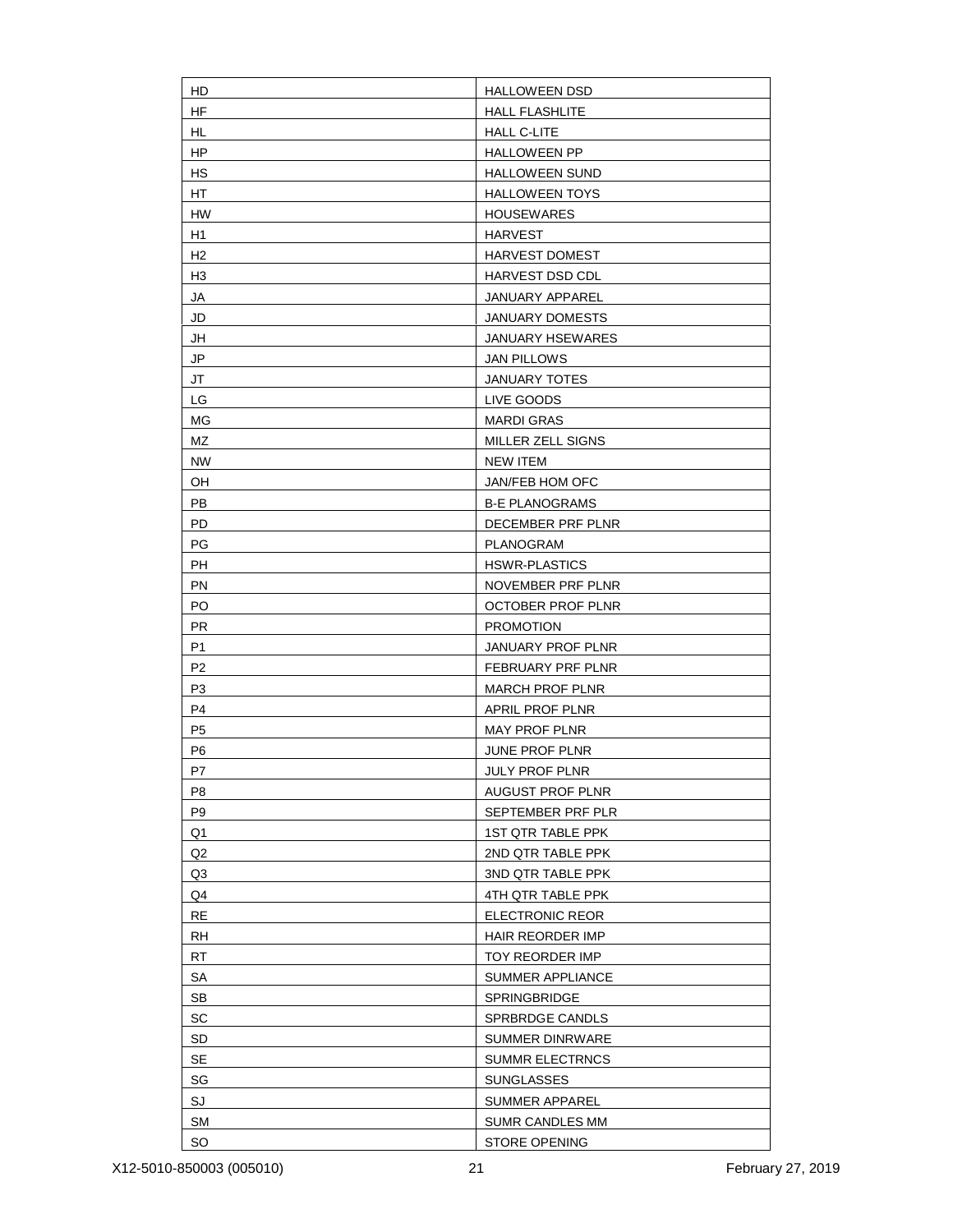| HD             | <b>HALLOWEEN DSD</b>     |
|----------------|--------------------------|
| <b>HF</b>      | <b>HALL FLASHLITE</b>    |
| <b>HL</b>      | <b>HALL C-LITE</b>       |
| HP             | <b>HALLOWEEN PP</b>      |
| HS             | <b>HALLOWEEN SUND</b>    |
| HT             | <b>HALLOWEEN TOYS</b>    |
| <b>HW</b>      | <b>HOUSEWARES</b>        |
| H1             | <b>HARVEST</b>           |
| H <sub>2</sub> | <b>HARVEST DOMEST</b>    |
| H <sub>3</sub> | HARVEST DSD CDL          |
| JA             | JANUARY APPAREL          |
| JD             | JANUARY DOMESTS          |
| JH             | JANUARY HSEWARES         |
| JP             | <b>JAN PILLOWS</b>       |
| JT             | <b>JANUARY TOTES</b>     |
| LG             | LIVE GOODS               |
| ΜG             | <b>MARDI GRAS</b>        |
| MZ             | MILLER ZELL SIGNS        |
| <b>NW</b>      | <b>NEW ITEM</b>          |
| OH             | JAN/FEB HOM OFC          |
| <b>PB</b>      | <b>B-E PLANOGRAMS</b>    |
| PD             | DECEMBER PRF PLNR        |
| PG             | PLANOGRAM                |
| PH             | <b>HSWR-PLASTICS</b>     |
| PN             | NOVEMBER PRF PLNR        |
| PO             | <b>OCTOBER PROF PLNR</b> |
| <b>PR</b>      | <b>PROMOTION</b>         |
| P <sub>1</sub> | JANUARY PROF PLNR        |
| P <sub>2</sub> | FEBRUARY PRF PLNR        |
| P <sub>3</sub> | <b>MARCH PROF PLNR</b>   |
| P <sub>4</sub> | APRIL PROF PLNR          |
| P <sub>5</sub> | MAY PROF PLNR            |
| P <sub>6</sub> | JUNE PROF PLNR           |
| P7             | <b>JULY PROF PLNR</b>    |
| P <sub>8</sub> | <b>AUGUST PROF PLNR</b>  |
| P <sub>9</sub> | SEPTEMBER PRF PLR        |
| Q1             | <b>1ST QTR TABLE PPK</b> |
| Q2             | 2ND QTR TABLE PPK        |
| Q3             | 3ND QTR TABLE PPK        |
| Q4             | 4TH QTR TABLE PPK        |
| RE             | ELECTRONIC REOR          |
| <b>RH</b>      | HAIR REORDER IMP         |
| <b>RT</b>      | TOY REORDER IMP          |
| SA             | SUMMER APPLIANCE         |
| <b>SB</b>      | SPRINGBRIDGE             |
| SC             | SPRBRDGE CANDLS          |
| <b>SD</b>      | <b>SUMMER DINRWARE</b>   |
| SE             | <b>SUMMR ELECTRNCS</b>   |
| SG             | <b>SUNGLASSES</b>        |
| SJ             | SUMMER APPAREL           |
| <b>SM</b>      | SUMR CANDLES MM          |
| <b>SO</b>      | <b>STORE OPENING</b>     |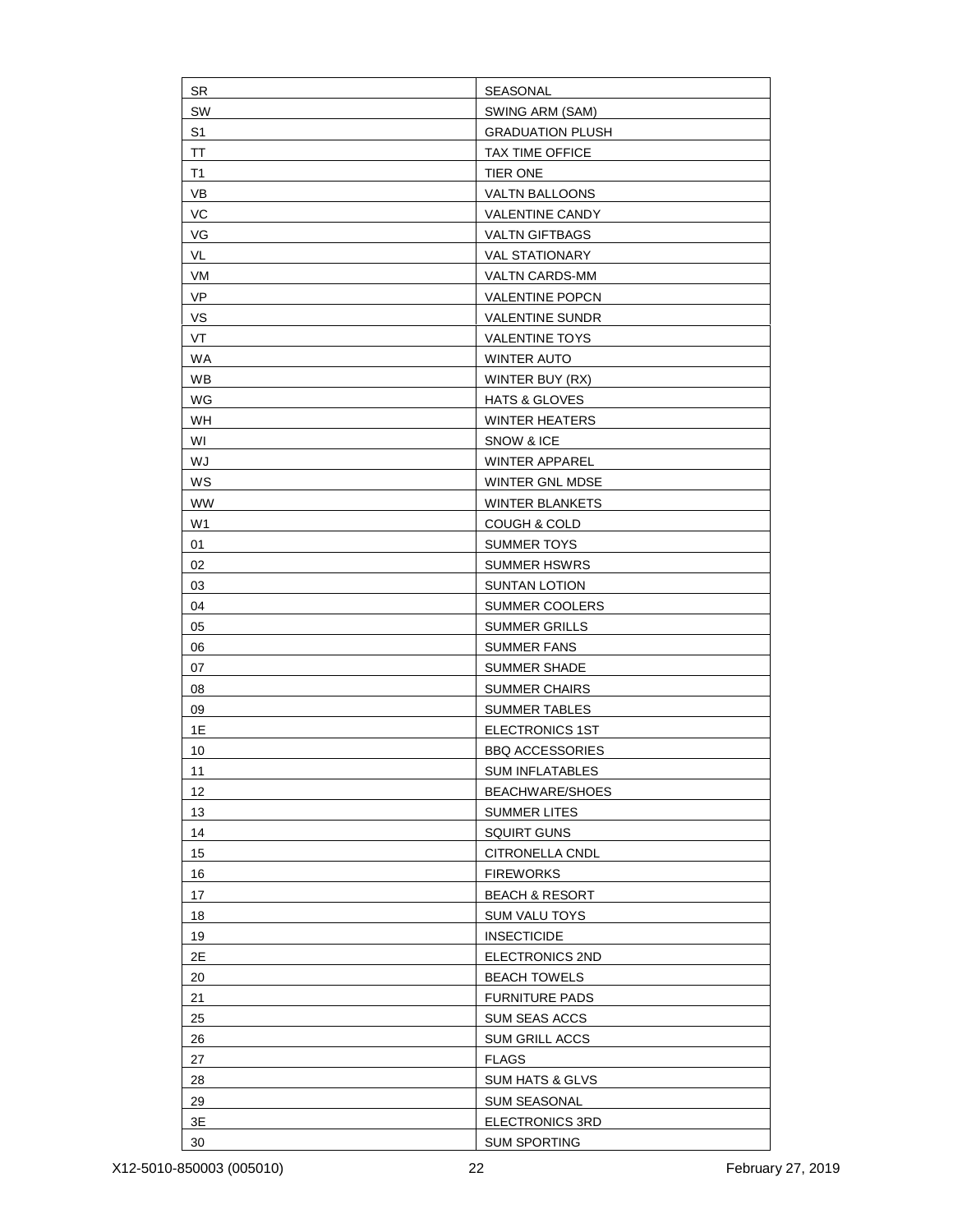| <b>SR</b>      | SEASONAL                   |
|----------------|----------------------------|
| SW             | SWING ARM (SAM)            |
| S <sub>1</sub> | <b>GRADUATION PLUSH</b>    |
| TT             | <b>TAX TIME OFFICE</b>     |
| T1             | <b>TIER ONE</b>            |
| VB             | VALTN BALLOONS             |
| VC             | <b>VALENTINE CANDY</b>     |
| VG             | <b>VALTN GIFTBAGS</b>      |
| VL             | <b>VAL STATIONARY</b>      |
| VM             | <b>VALTN CARDS-MM</b>      |
| VP             | <b>VALENTINE POPCN</b>     |
| VS             | <b>VALENTINE SUNDR</b>     |
| VT             | <b>VALENTINE TOYS</b>      |
| <b>WA</b>      | <b>WINTER AUTO</b>         |
| <b>WB</b>      | WINTER BUY (RX)            |
| WG             | <b>HATS &amp; GLOVES</b>   |
| WH             | <b>WINTER HEATERS</b>      |
| WI             | SNOW & ICE                 |
| WJ             | <b>WINTER APPAREL</b>      |
| WS             | WINTER GNL MDSE            |
| <b>WW</b>      | <b>WINTER BLANKETS</b>     |
| W1             | <b>COUGH &amp; COLD</b>    |
| 01             | <b>SUMMER TOYS</b>         |
| 02             | <b>SUMMER HSWRS</b>        |
| 03             | SUNTAN LOTION              |
| 04             | <b>SUMMER COOLERS</b>      |
| 05             | <b>SUMMER GRILLS</b>       |
| 06             | <b>SUMMER FANS</b>         |
| 07             | <b>SUMMER SHADE</b>        |
| 08             | <b>SUMMER CHAIRS</b>       |
| 09             | <b>SUMMER TABLES</b>       |
| 1E             | <b>ELECTRONICS 1ST</b>     |
| 10             | <b>BBQ ACCESSORIES</b>     |
| 11             | <b>SUM INFLATABLES</b>     |
| 12             | BEACHWARE/SHOES            |
| 13             | <b>SUMMER LITES</b>        |
| 14             | <b>SQUIRT GUNS</b>         |
| 15             | CITRONELLA CNDL            |
| 16             | <b>FIREWORKS</b>           |
| 17             | <b>BEACH &amp; RESORT</b>  |
| 18             | <b>SUM VALU TOYS</b>       |
| 19             | <b>INSECTICIDE</b>         |
| 2E             | ELECTRONICS 2ND            |
| 20             | <b>BEACH TOWELS</b>        |
| 21             | <b>FURNITURE PADS</b>      |
| 25             | SUM SEAS ACCS              |
| 26             | <b>SUM GRILL ACCS</b>      |
| 27             | <b>FLAGS</b>               |
| 28             | <b>SUM HATS &amp; GLVS</b> |
| 29             | <b>SUM SEASONAL</b>        |
| $3\mathsf{E}$  | ELECTRONICS 3RD            |
| 30             | <b>SUM SPORTING</b>        |
|                |                            |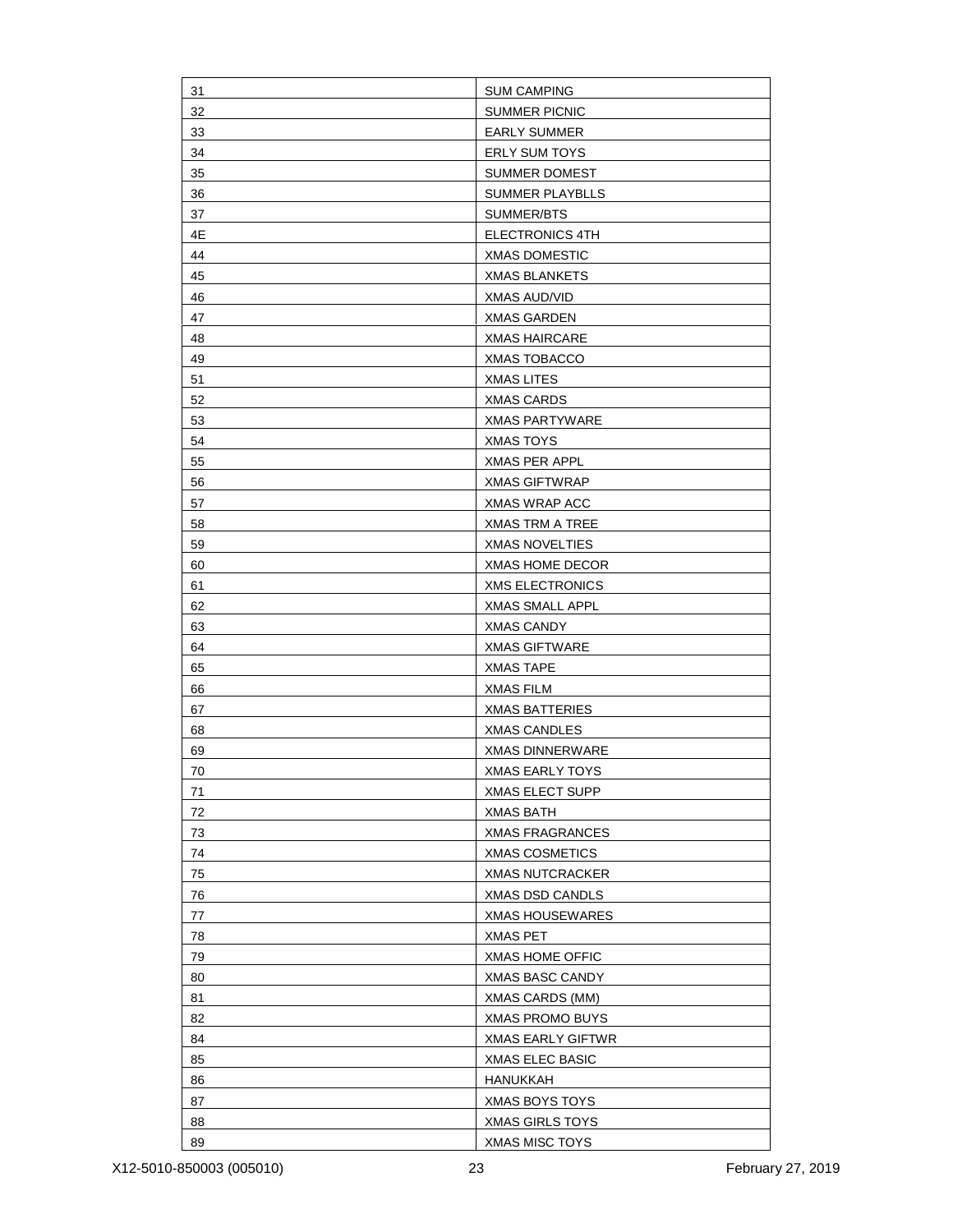| 31 | <b>SUM CAMPING</b>     |
|----|------------------------|
| 32 | <b>SUMMER PICNIC</b>   |
| 33 | <b>EARLY SUMMER</b>    |
| 34 | <b>ERLY SUM TOYS</b>   |
| 35 | SUMMER DOMEST          |
| 36 | <b>SUMMER PLAYBLLS</b> |
| 37 | SUMMER/BTS             |
| 4E | ELECTRONICS 4TH        |
| 44 | <b>XMAS DOMESTIC</b>   |
| 45 | <b>XMAS BLANKETS</b>   |
| 46 | <b>XMAS AUD/VID</b>    |
| 47 | <b>XMAS GARDEN</b>     |
| 48 | <b>XMAS HAIRCARE</b>   |
| 49 | <b>XMAS TOBACCO</b>    |
| 51 | <b>XMAS LITES</b>      |
| 52 | <b>XMAS CARDS</b>      |
| 53 | <b>XMAS PARTYWARE</b>  |
| 54 | <b>XMAS TOYS</b>       |
| 55 | XMAS PER APPL          |
| 56 | <b>XMAS GIFTWRAP</b>   |
| 57 | <b>XMAS WRAP ACC</b>   |
| 58 | <b>XMAS TRM A TREE</b> |
| 59 | <b>XMAS NOVELTIES</b>  |
| 60 | <b>XMAS HOME DECOR</b> |
| 61 | <b>XMS ELECTRONICS</b> |
| 62 | <b>XMAS SMALL APPL</b> |
| 63 | <b>XMAS CANDY</b>      |
| 64 | <b>XMAS GIFTWARE</b>   |
| 65 | <b>XMAS TAPE</b>       |
| 66 | <b>XMAS FILM</b>       |
| 67 | <b>XMAS BATTERIES</b>  |
| 68 | <b>XMAS CANDLES</b>    |
| 69 | <b>XMAS DINNERWARE</b> |
| 70 | <b>XMAS EARLY TOYS</b> |
| 71 | <b>XMAS ELECT SUPP</b> |
| 72 | <b>XMAS BATH</b>       |
| 73 | <b>XMAS FRAGRANCES</b> |
| 74 | <b>XMAS COSMETICS</b>  |
| 75 | <b>XMAS NUTCRACKER</b> |
| 76 | <b>XMAS DSD CANDLS</b> |
| 77 | <b>XMAS HOUSEWARES</b> |
| 78 | <b>XMAS PET</b>        |
| 79 | <b>XMAS HOME OFFIC</b> |
| 80 | <b>XMAS BASC CANDY</b> |
| 81 | XMAS CARDS (MM)        |
| 82 | <b>XMAS PROMO BUYS</b> |
| 84 | XMAS EARLY GIFTWR      |
| 85 | <b>XMAS ELEC BASIC</b> |
| 86 | <b>HANUKKAH</b>        |
| 87 | XMAS BOYS TOYS         |
| 88 | <b>XMAS GIRLS TOYS</b> |
| 89 | <b>XMAS MISC TOYS</b>  |